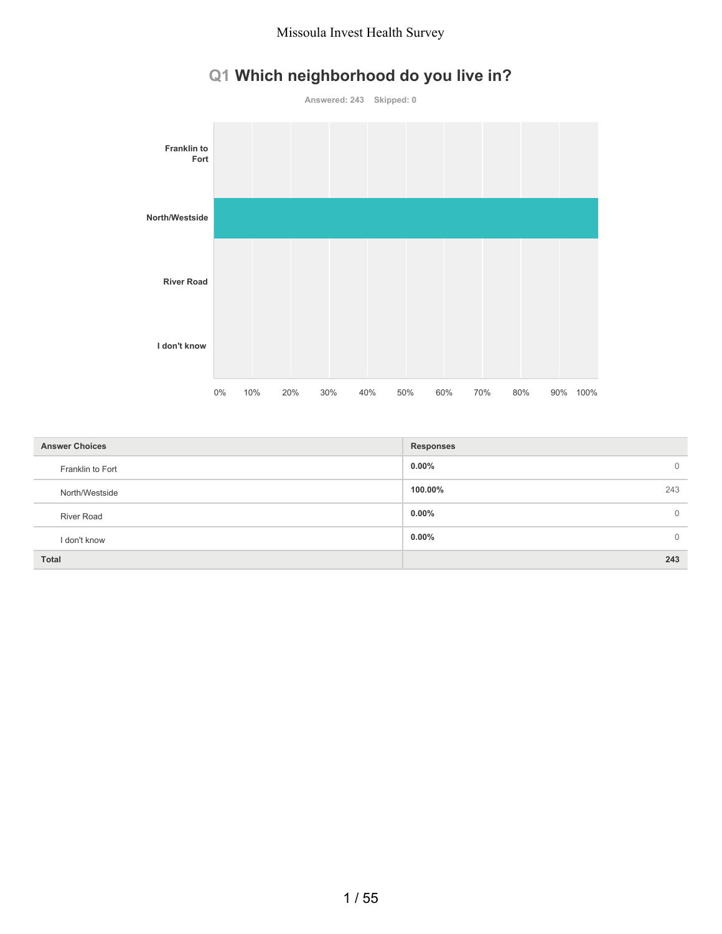# **Q1 Which neighborhood do you live in?**



| <b>Answer Choices</b> | <b>Responses</b>         |
|-----------------------|--------------------------|
| Franklin to Fort      | $0.00\%$<br>$\mathbf{0}$ |
| North/Westside        | 100.00%<br>243           |
| <b>River Road</b>     | $0.00\%$<br>$\Omega$     |
| I don't know          | $0.00\%$<br>$\mathbf{0}$ |
| <b>Total</b>          | 243                      |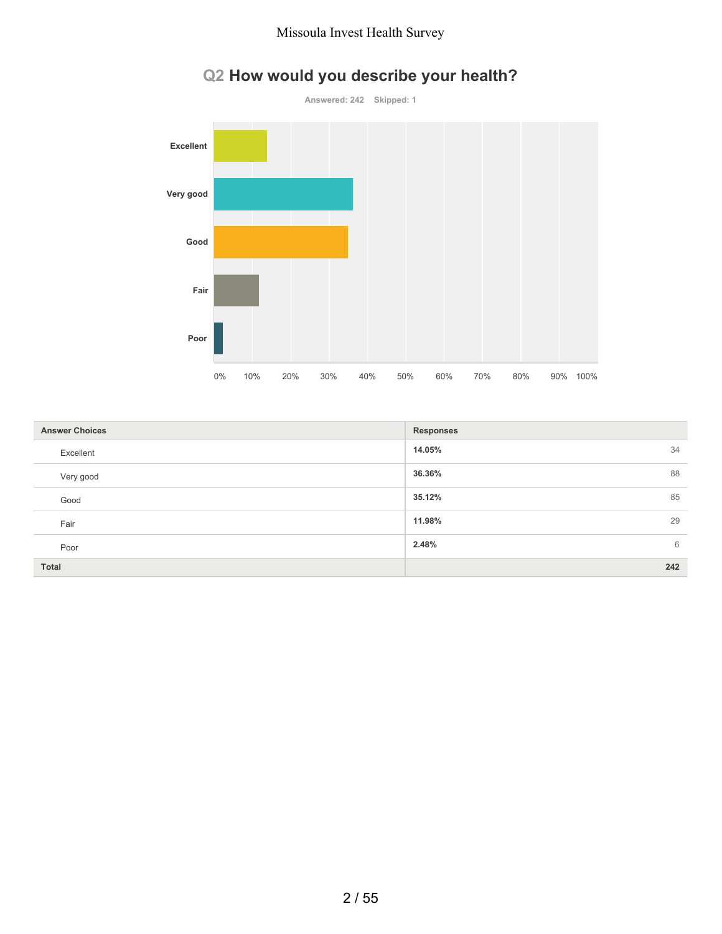

# **Q2 How would you describe your health?**

| <b>Answer Choices</b> | <b>Responses</b> |
|-----------------------|------------------|
| Excellent             | 14.05%<br>34     |
| Very good             | 36.36%<br>88     |
| Good                  | 85<br>35.12%     |
| Fair                  | 11.98%<br>29     |
| Poor                  | 2.48%<br>6       |
| <b>Total</b>          | 242              |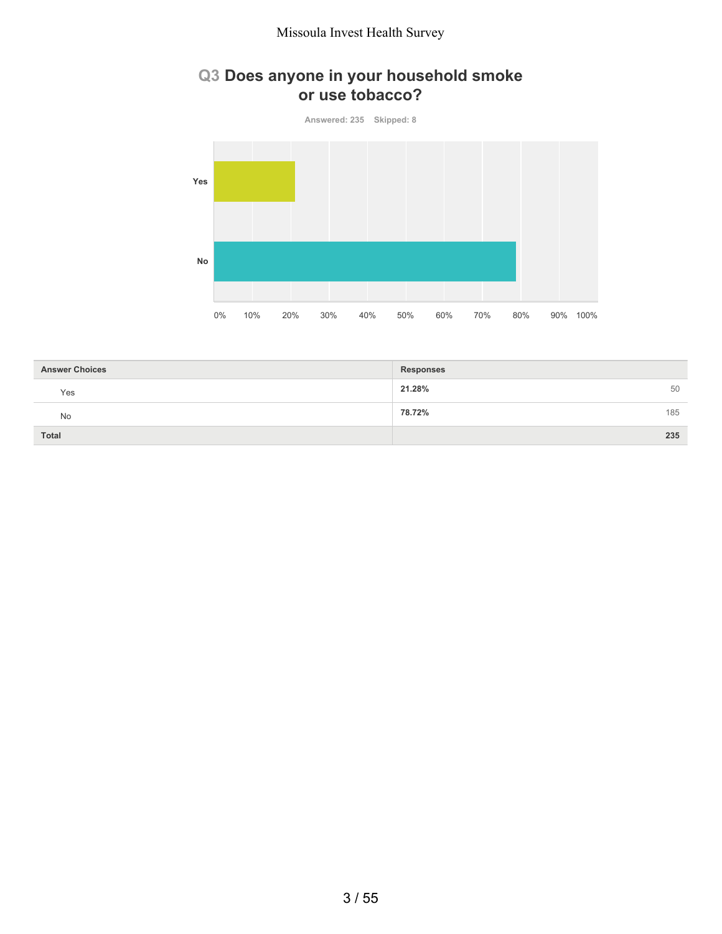### **Q3 Does anyone in your household smoke or use tobacco?**

**Answered: 235 Skipped: 8 Yes No** 0% 10% 20% 30% 40% 50% 60% 70% 80% 90% 100%

| <b>Answer Choices</b> | <b>Responses</b> |
|-----------------------|------------------|
| Yes                   | 21.28%<br>50     |
| <b>No</b>             | 185<br>78.72%    |
| Total                 | 235              |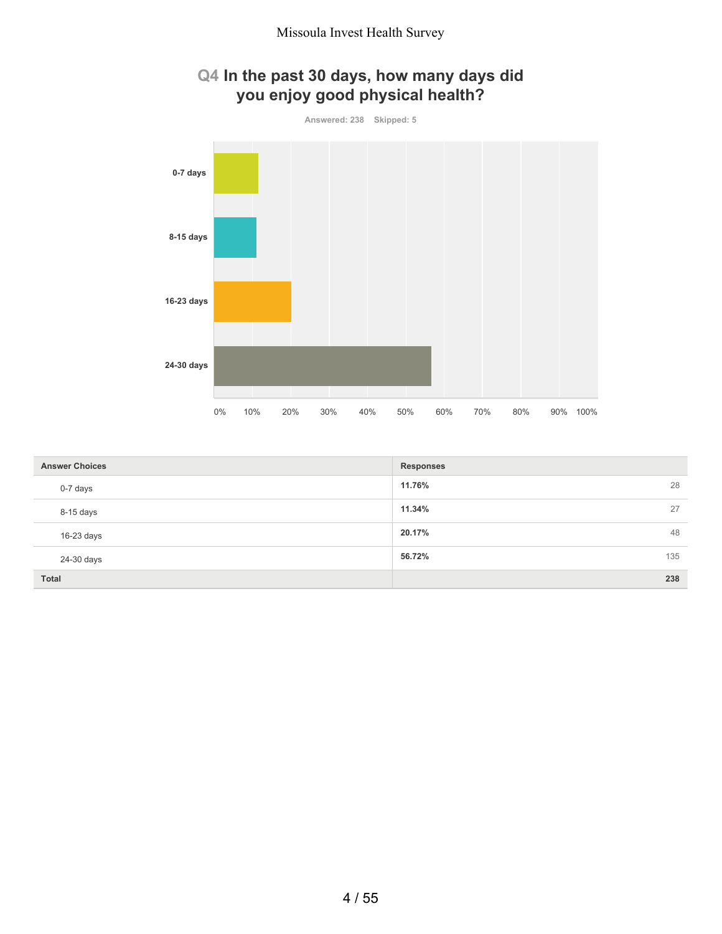

| <b>Answer Choices</b> | <b>Responses</b> |    |
|-----------------------|------------------|----|
| 0-7 days              | 11.76%           | 28 |
| 8-15 days             | 11.34%           | 27 |
| 16-23 days            | 20.17%           | 48 |
| 24-30 days            | 135<br>56.72%    |    |
| Total                 | 238              |    |

# 4 / 55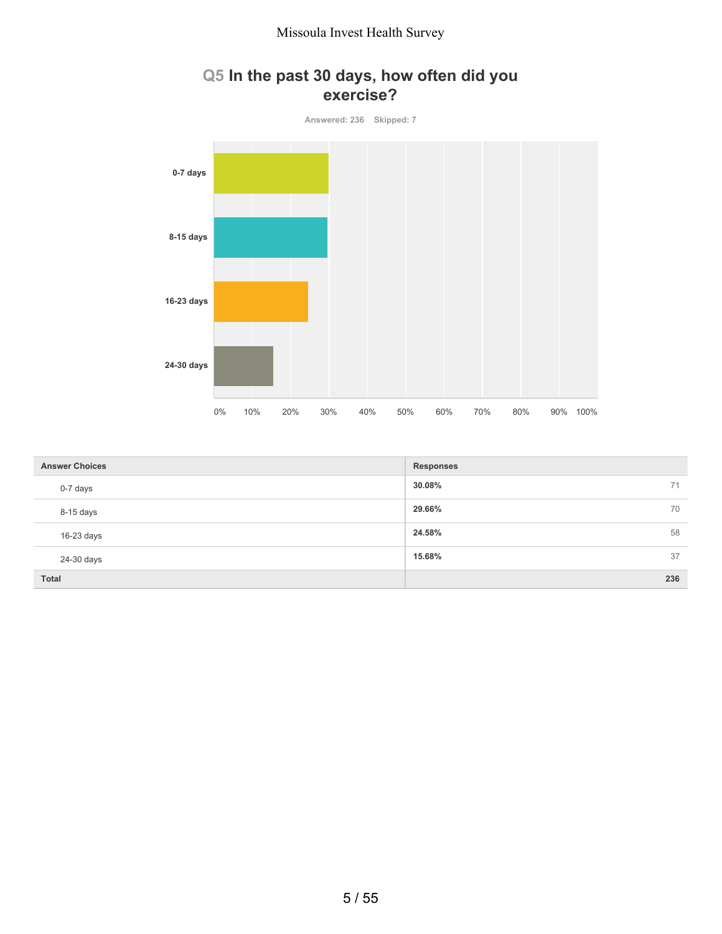### **Q5 In the past 30 days, how often did you exercise?**



| <b>Answer Choices</b> | <b>Responses</b> |
|-----------------------|------------------|
| 0-7 days              | 30.08%<br>71     |
| 8-15 days             | 70<br>29.66%     |
| $16-23$ days          | 58<br>24.58%     |
| 24-30 days            | 37<br>15.68%     |
| <b>Total</b>          | 236              |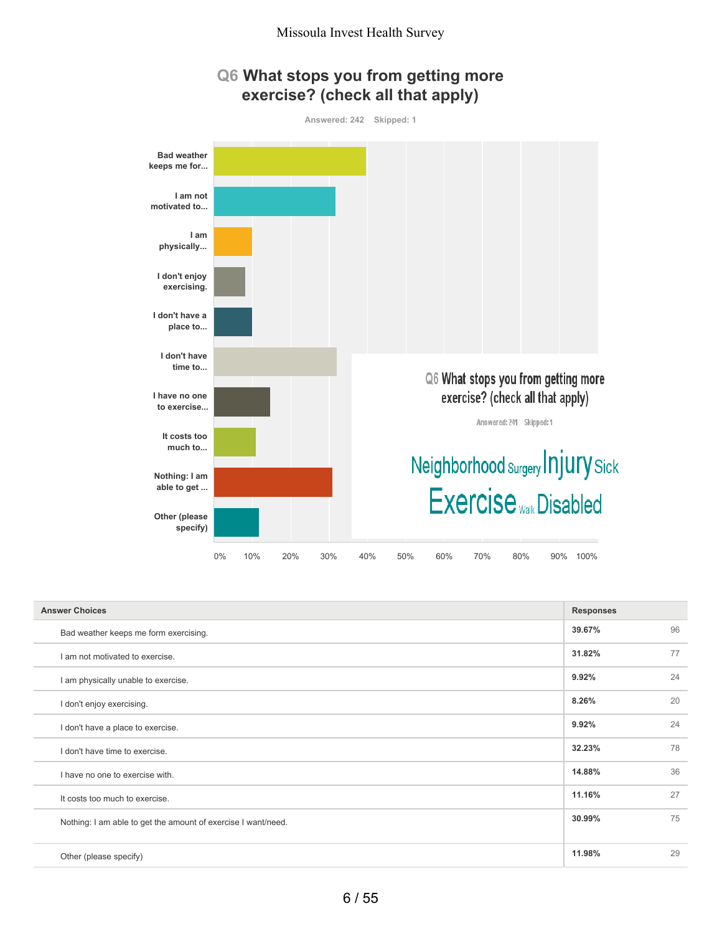



| <b>Answer Choices</b>                                         | <b>Responses</b> |    |
|---------------------------------------------------------------|------------------|----|
| Bad weather keeps me form exercising.                         | 39.67%           | 96 |
| I am not motivated to exercise.                               | 31.82%           | 77 |
| I am physically unable to exercise.                           | 9.92%            | 24 |
| I don't enjoy exercising.                                     | 8.26%            | 20 |
| I don't have a place to exercise.                             | 9.92%            | 24 |
| I don't have time to exercise.                                | 32.23%           | 78 |
| I have no one to exercise with.                               | 14.88%           | 36 |
| It costs too much to exercise.                                | 11.16%           | 27 |
| Nothing: I am able to get the amount of exercise I want/need. | 30.99%           | 75 |
| Other (please specify)                                        | 11.98%           | 29 |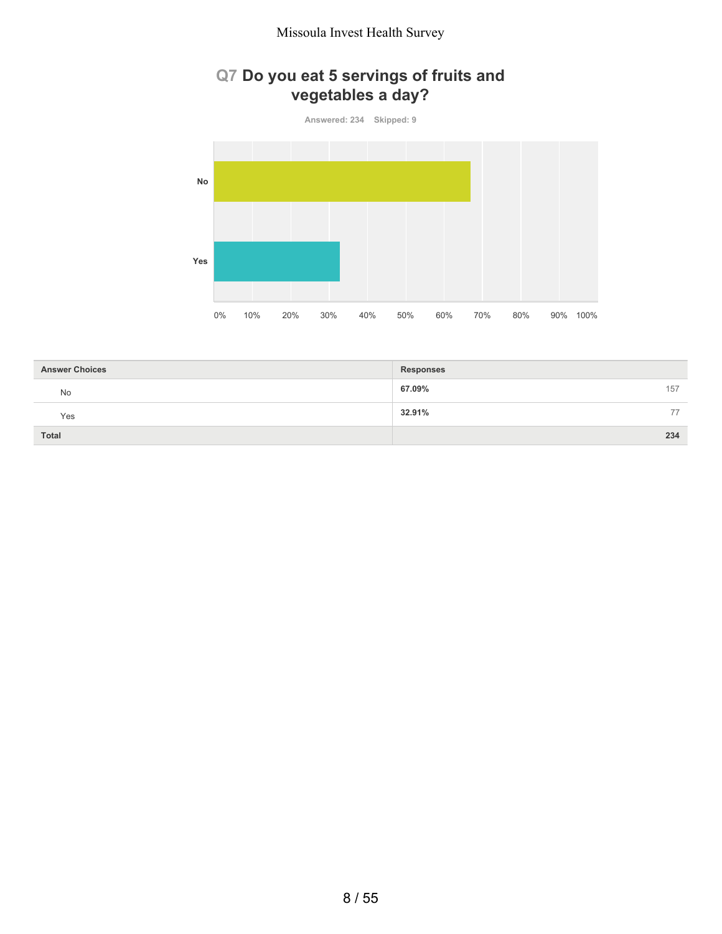# **Q7 Do you eat 5 servings of fruits and vegetables a day?**

**Answered: 234 Skipped: 9**



| <b>Answer Choices</b> | <b>Responses</b> |
|-----------------------|------------------|
| No                    | 67.09%<br>157    |
| Yes                   | 32.91%<br>77     |
| <b>Total</b>          | 234              |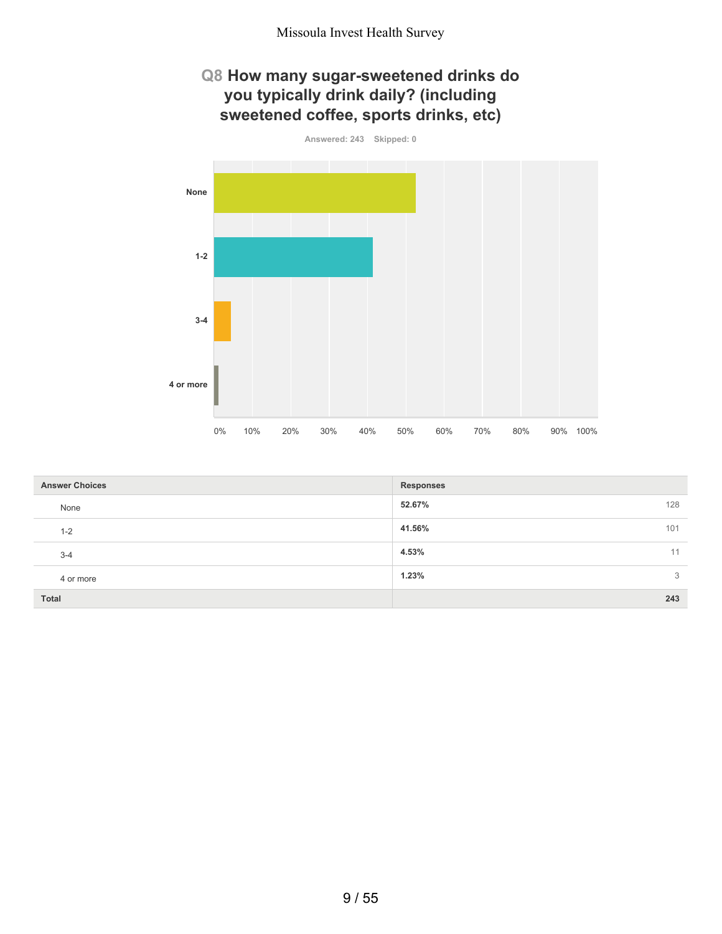### **Q8 How many sugar-sweetened drinks do you typically drink daily? (including sweetened coffee, sports drinks, etc)**



| <b>Answer Choices</b> | <b>Responses</b> |
|-----------------------|------------------|
| None                  | 52.67%<br>128    |
| $1 - 2$               | 41.56%<br>101    |
| $3 - 4$               | 4.53%<br>11      |
| 4 or more             | 1.23%<br>3       |
| <b>Total</b>          | 243              |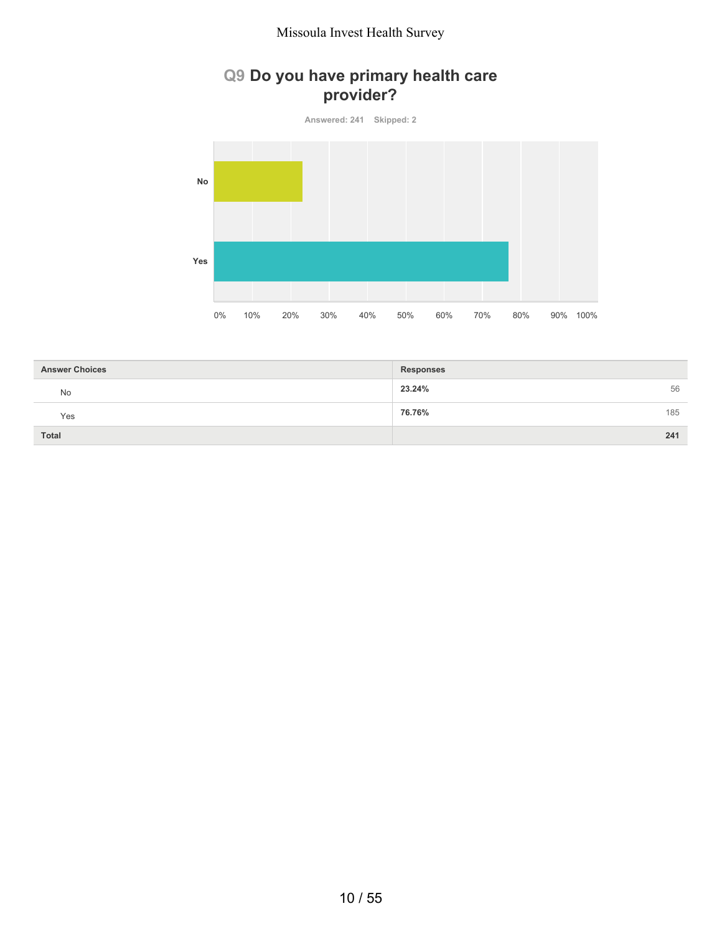### **Q9 Do you have primary health care provider?**

**Answered: 241 Skipped: 2**



| <b>Answer Choices</b> | <b>Responses</b> |
|-----------------------|------------------|
| No                    | 56<br>23.24%     |
| Yes                   | 185<br>76.76%    |
| <b>Total</b>          | 241              |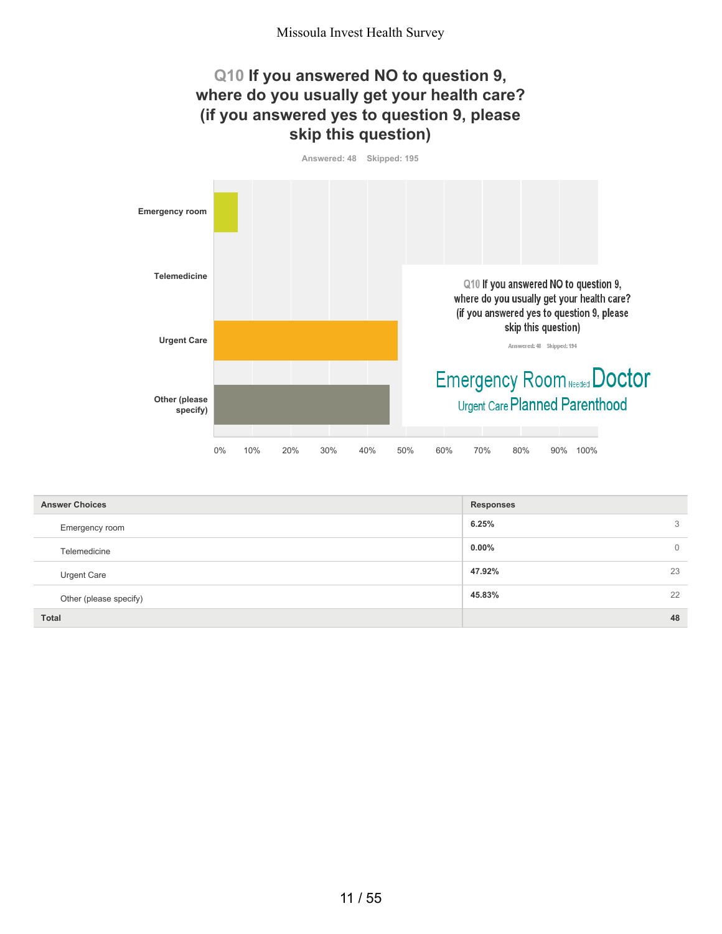### **Q10 If you answered NO to question 9, where do you usually get your health care? (if you answered yes to question 9, please skip this question)**

**Answered: 48 Skipped: 195**



| <b>Answer Choices</b>  | <b>Responses</b>         |
|------------------------|--------------------------|
| Emergency room         | 6.25%<br>3               |
| Telemedicine           | $0.00\%$<br>$\mathbf{0}$ |
| <b>Urgent Care</b>     | 47.92%<br>23             |
| Other (please specify) | 22<br>45.83%             |
| <b>Total</b>           | 48                       |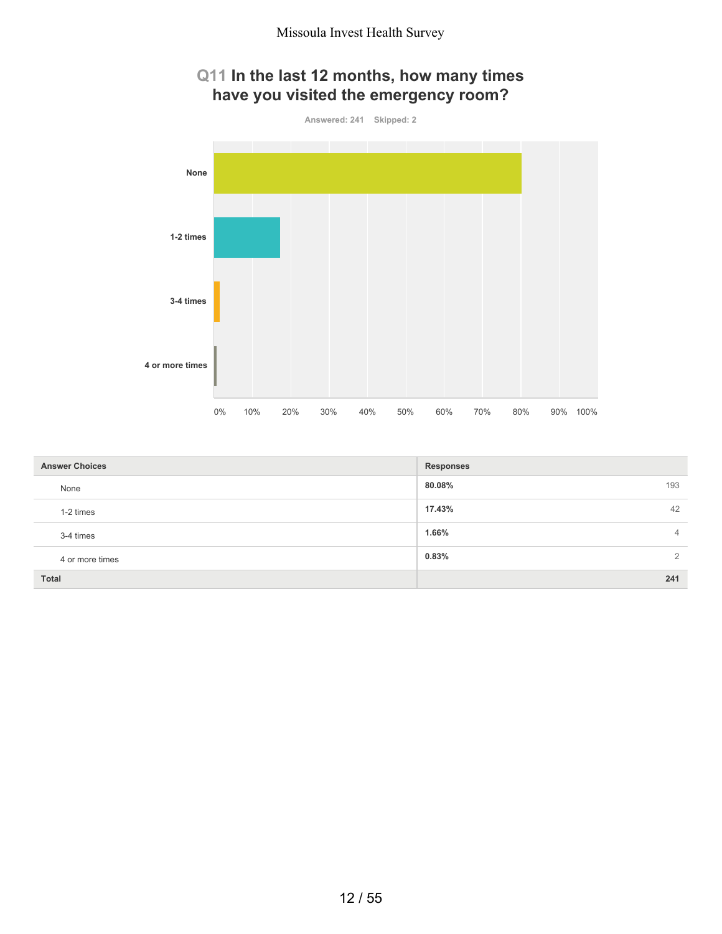# **Q11 In the last 12 months, how many times have you visited the emergency room?**



| <b>Answer Choices</b> | <b>Responses</b>        |
|-----------------------|-------------------------|
| None                  | 193<br>80.08%           |
| 1-2 times             | 17.43%<br>42            |
| 3-4 times             | 1.66%<br>$\overline{4}$ |
| 4 or more times       | 0.83%<br>$\overline{2}$ |
| Total                 | 241                     |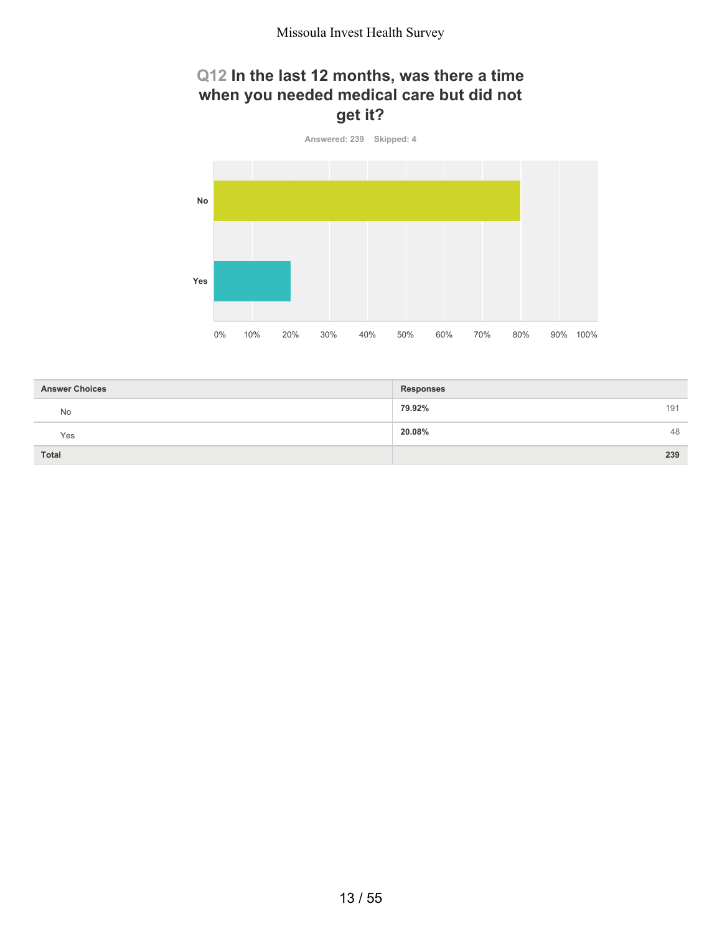### **Q12 In the last 12 months, was there a time when you needed medical care but did not get it?**



| <b>Answer Choices</b> | <b>Responses</b> |
|-----------------------|------------------|
| <b>No</b>             | 79.92%<br>191    |
| Yes                   | 20.08%<br>48     |
| <b>Total</b>          | 239              |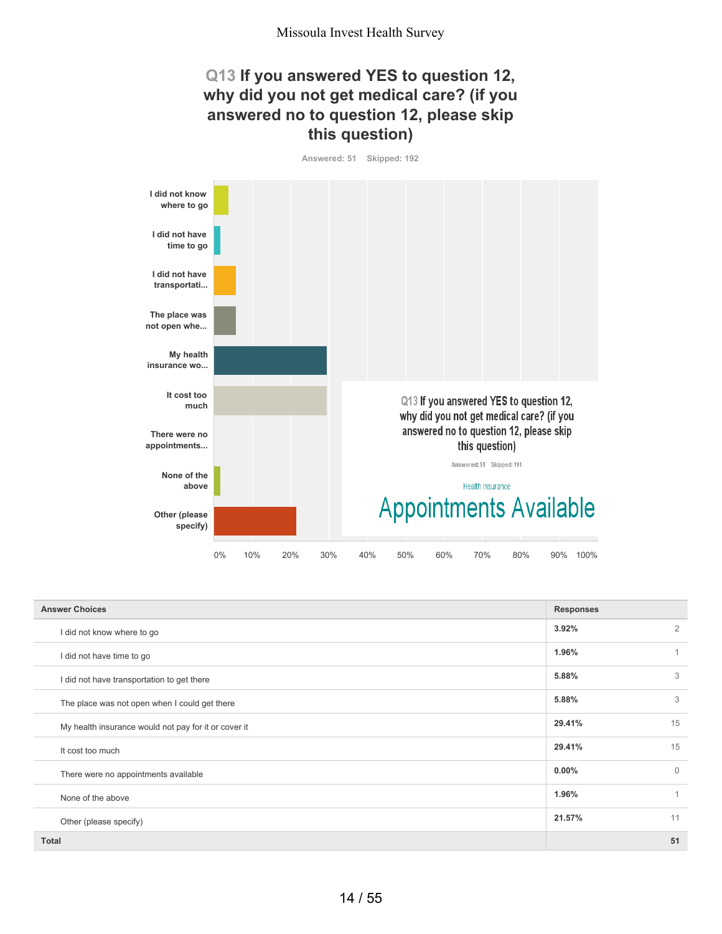### **Q13 If you answered YES to question 12, why did you not get medical care? (if you answered no to question 12, please skip this question)**

**Answered: 51 Skipped: 192**



| <b>Answer Choices</b>                                | <b>Responses</b> |                |
|------------------------------------------------------|------------------|----------------|
| I did not know where to go                           | 3.92%            | $\overline{2}$ |
| I did not have time to go                            | 1.96%            | 1              |
| I did not have transportation to get there           | 5.88%            | 3              |
| The place was not open when I could get there        | 5.88%            | 3              |
| My health insurance would not pay for it or cover it | 29.41%           | 15             |
| It cost too much                                     | 29.41%           | 15             |
| There were no appointments available                 | $0.00\%$         | $\Omega$       |
| None of the above                                    | 1.96%            | $\overline{1}$ |
| Other (please specify)                               | 21.57%           | 11             |
| <b>Total</b>                                         |                  | 51             |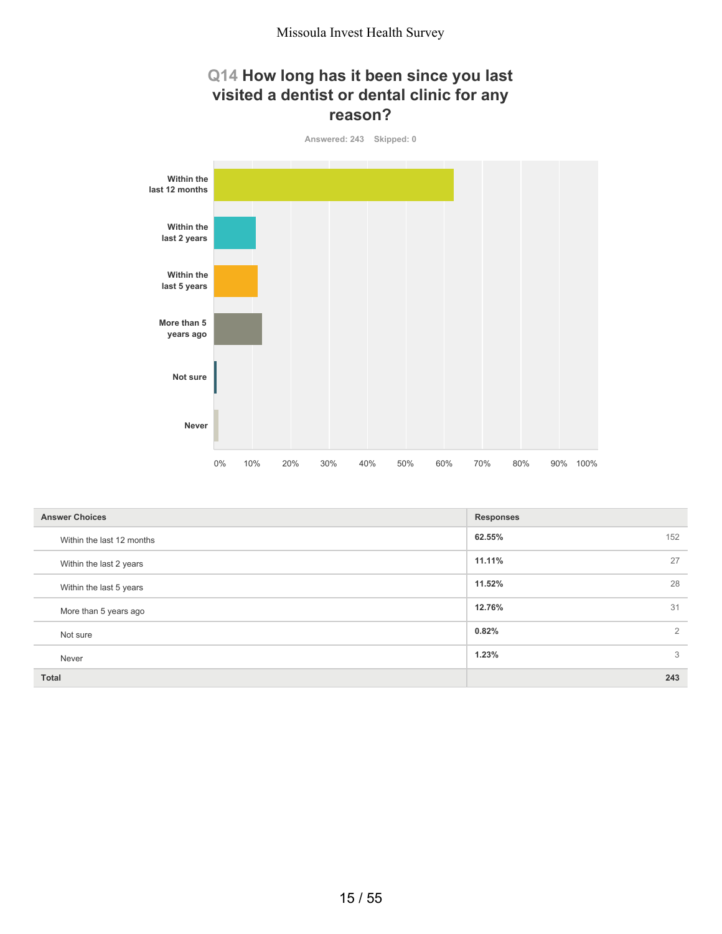### **Q14 How long has it been since you last visited a dentist or dental clinic for any reason?**



| <b>Answer Choices</b>     | <b>Responses</b> |
|---------------------------|------------------|
| Within the last 12 months | 62.55%<br>152    |
| Within the last 2 years   | 11.11%<br>27     |
| Within the last 5 years   | 28<br>11.52%     |
| More than 5 years ago     | 31<br>12.76%     |
| Not sure                  | 2<br>0.82%       |
| Never                     | 3<br>1.23%       |
| <b>Total</b>              | 243              |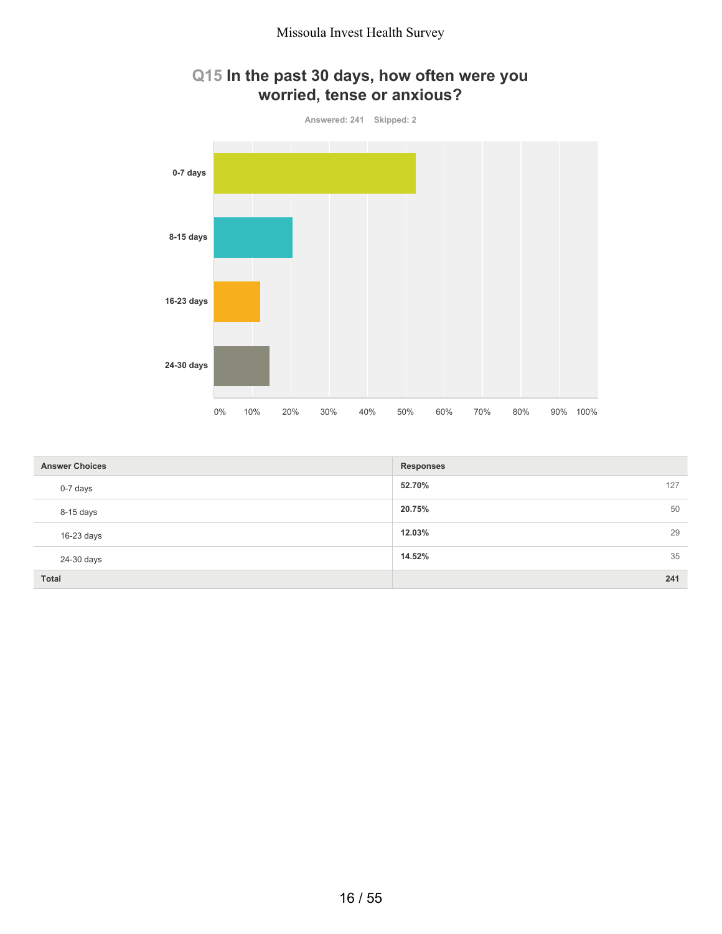

### **Q15 In the past 30 days, how often were you worried, tense or anxious?**

| <b>Answer Choices</b> | <b>Responses</b> |    |
|-----------------------|------------------|----|
| 0-7 days              | 52.70%<br>127    |    |
| 8-15 days             | 20.75%           | 50 |
| 16-23 days            | 12.03%           | 29 |
| 24-30 days            | 14.52%           | 35 |
| <b>Total</b>          | 241              |    |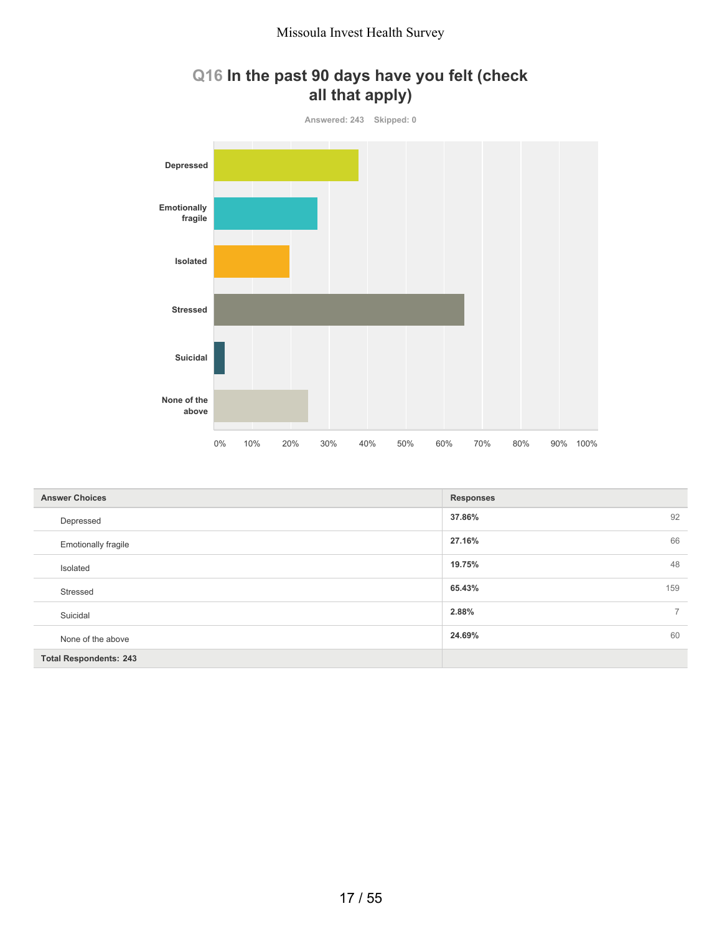



| <b>Answer Choices</b>         | <b>Responses</b>        |
|-------------------------------|-------------------------|
| Depressed                     | 92<br>37.86%            |
| <b>Emotionally fragile</b>    | 66<br>27.16%            |
| Isolated                      | 48<br>19.75%            |
| Stressed                      | 159<br>65.43%           |
| Suicidal                      | 2.88%<br>$\overline{7}$ |
| None of the above             | 60<br>24.69%            |
| <b>Total Respondents: 243</b> |                         |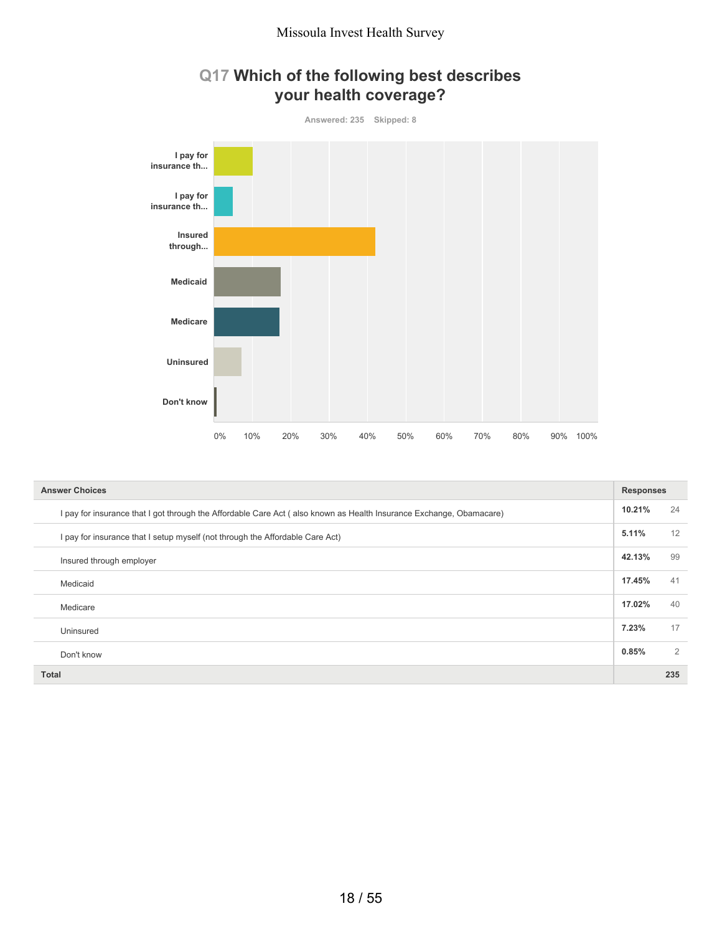



| <b>Answer Choices</b>                                                                                               | <b>Responses</b> |     |
|---------------------------------------------------------------------------------------------------------------------|------------------|-----|
| I pay for insurance that I got through the Affordable Care Act (also known as Health Insurance Exchange, Obamacare) | 10.21%           | 24  |
| I pay for insurance that I setup myself (not through the Affordable Care Act)                                       | 5.11%            | 12  |
| Insured through employer                                                                                            | 42.13%           | 99  |
| Medicaid                                                                                                            | 17.45%           | 41  |
| Medicare                                                                                                            | 17.02%           | 40  |
| Uninsured                                                                                                           | 7.23%            | 17  |
| Don't know                                                                                                          | 0.85%            | 2   |
| <b>Total</b>                                                                                                        |                  | 235 |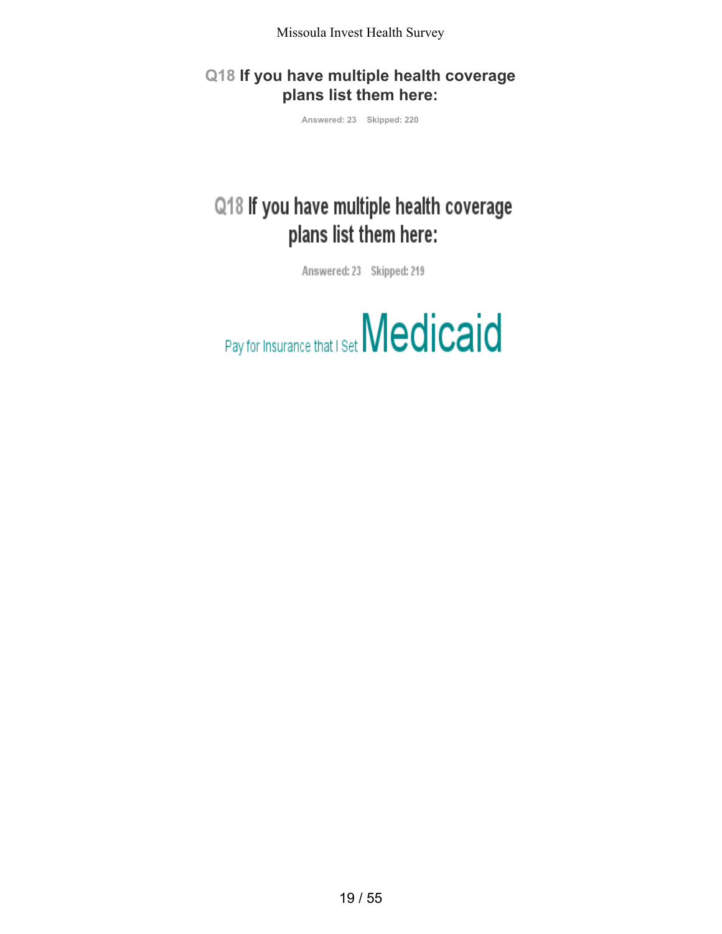**Q18 If you have multiple health coverage plans list them here:**

**Answered: 23 Skipped: 220**

# Q18 If you have multiple health coverage plans list them here:

Answered: 23 Skipped: 219

Pay for Insurance that I Set Medicaid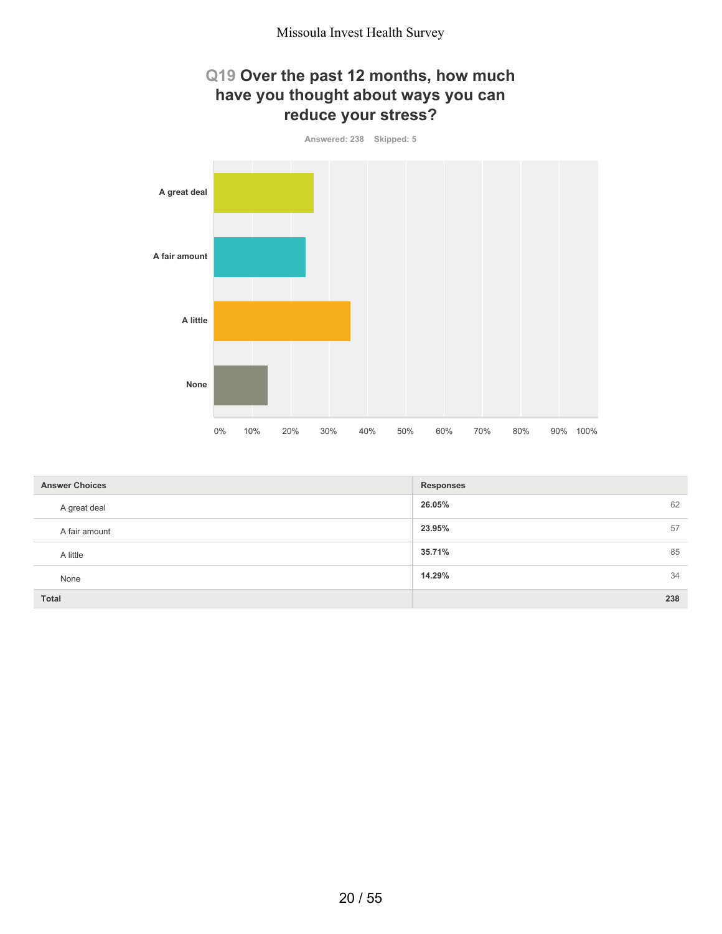### **Q19 Over the past 12 months, how much have you thought about ways you can reduce your stress?**



| <b>Answer Choices</b> | <b>Responses</b> |
|-----------------------|------------------|
| A great deal          | 62<br>26.05%     |
| A fair amount         | 23.95%<br>57     |
| A little              | 85<br>35.71%     |
| None                  | 34<br>14.29%     |
| <b>Total</b>          | 238              |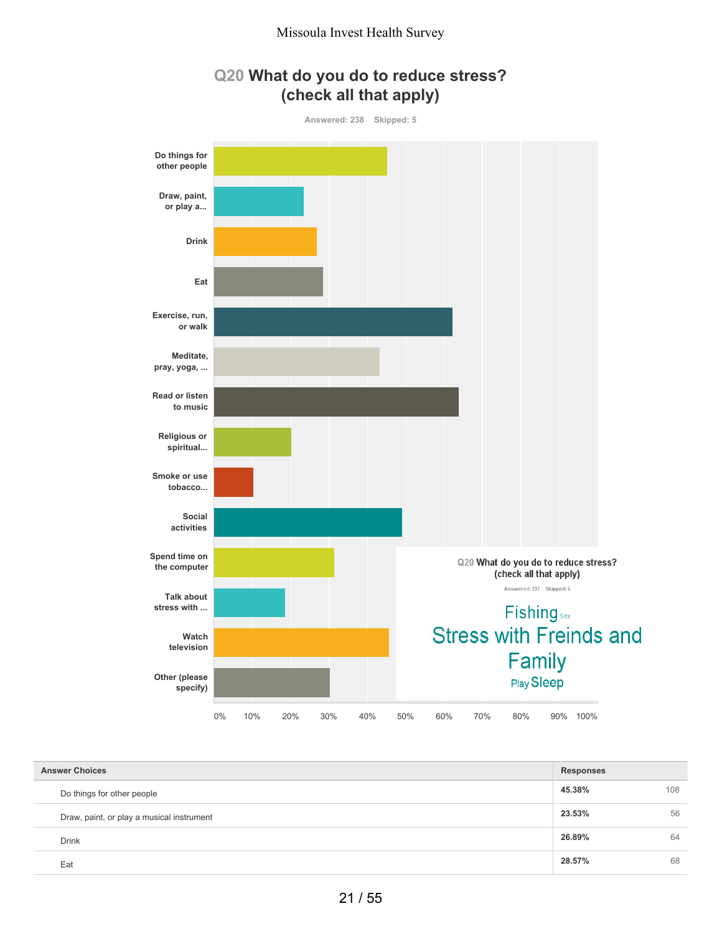



| <b>Answer Choices</b>                     | <b>Responses</b> |     |
|-------------------------------------------|------------------|-----|
| Do things for other people                | 45.38%           | 108 |
| Draw, paint, or play a musical instrument | 23.53%           | 56  |
| <b>Drink</b>                              | 26.89%           | 64  |
| Eat                                       | 28.57%           | 68  |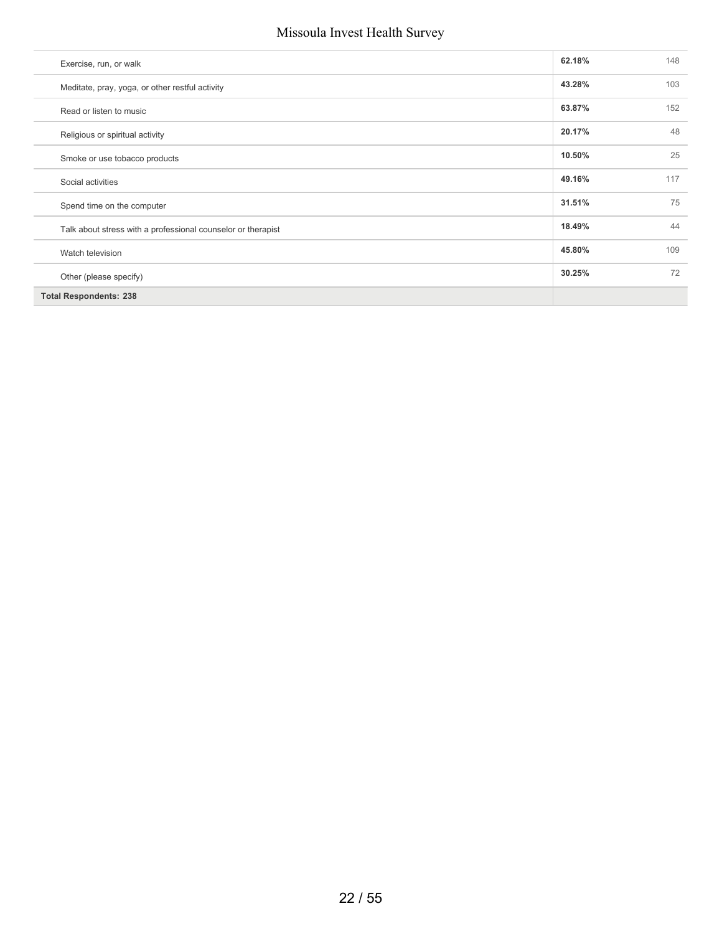| Exercise, run, or walk                                       | 62.18% | 148 |
|--------------------------------------------------------------|--------|-----|
| Meditate, pray, yoga, or other restful activity              | 43.28% | 103 |
| Read or listen to music                                      | 63.87% | 152 |
| Religious or spiritual activity                              | 20.17% | 48  |
| Smoke or use tobacco products                                | 10.50% | 25  |
| Social activities                                            | 49.16% | 117 |
| Spend time on the computer                                   | 31.51% | 75  |
| Talk about stress with a professional counselor or therapist | 18.49% | 44  |
| Watch television                                             | 45.80% | 109 |
| Other (please specify)                                       | 30.25% | 72  |
| <b>Total Respondents: 238</b>                                |        |     |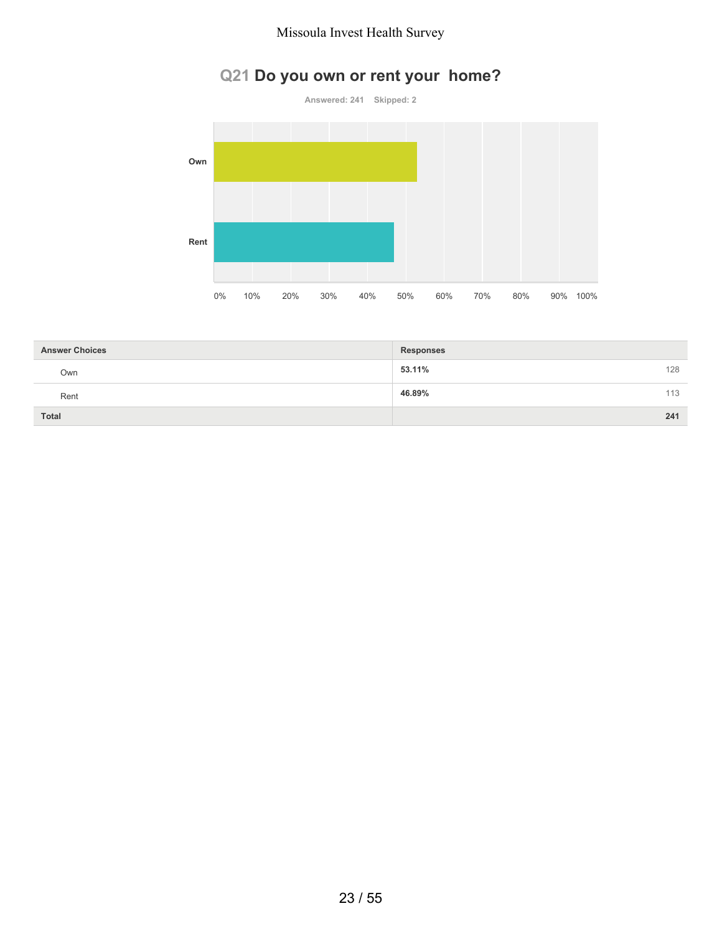# **Q21 Do you own or rent your home?**



| <b>Answer Choices</b> | <b>Responses</b> |     |
|-----------------------|------------------|-----|
| Own                   | 53.11%           | 128 |
| Rent                  | 46.89%           | 113 |
| <b>Total</b>          |                  | 241 |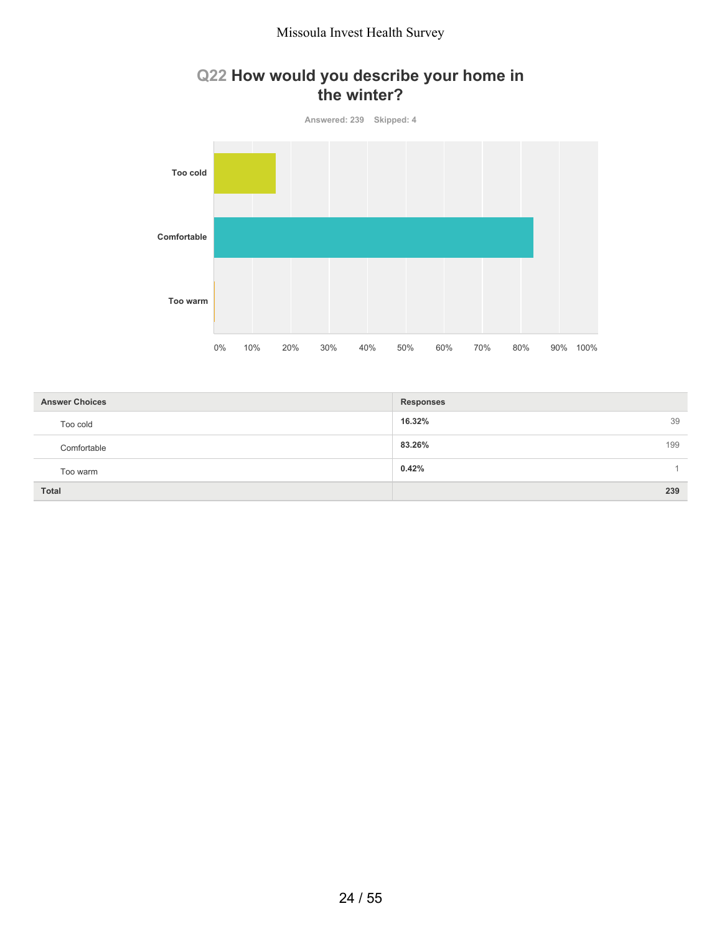### **Q22 How would you describe your home in the winter?**



| <b>Answer Choices</b> | <b>Responses</b> |
|-----------------------|------------------|
| Too cold              | 16.32%<br>39     |
| Comfortable           | 83.26%<br>199    |
| Too warm              | 0.42%            |
| <b>Total</b>          | 239              |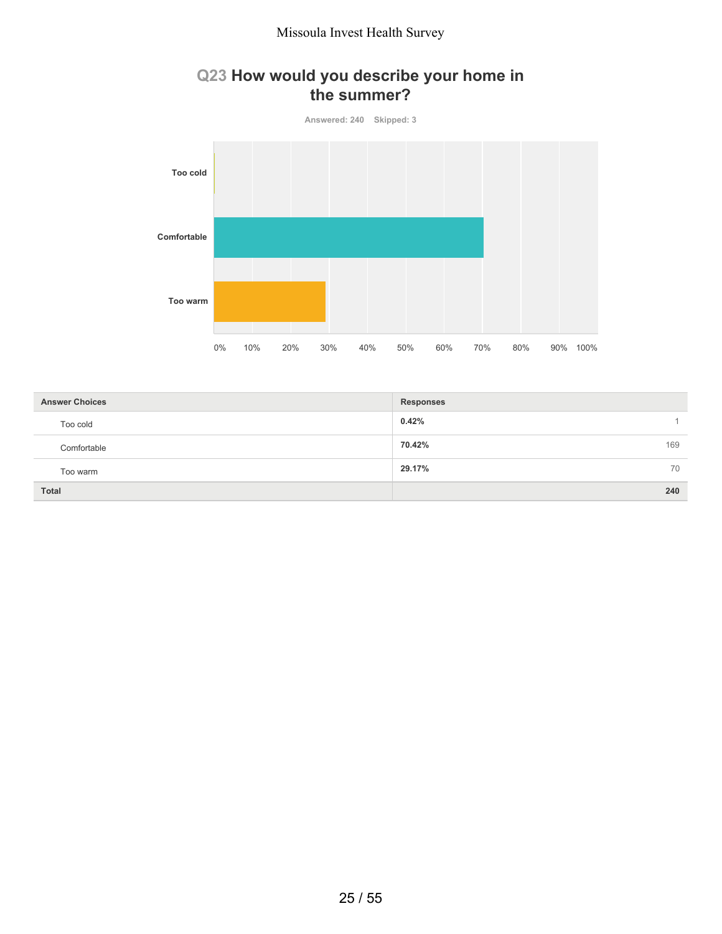### **Q23 How would you describe your home in the summer?**



| <b>Answer Choices</b> | <b>Responses</b> |
|-----------------------|------------------|
| Too cold              | 0.42%            |
| Comfortable           | 70.42%<br>169    |
| Too warm              | 29.17%<br>70     |
| <b>Total</b>          | 240              |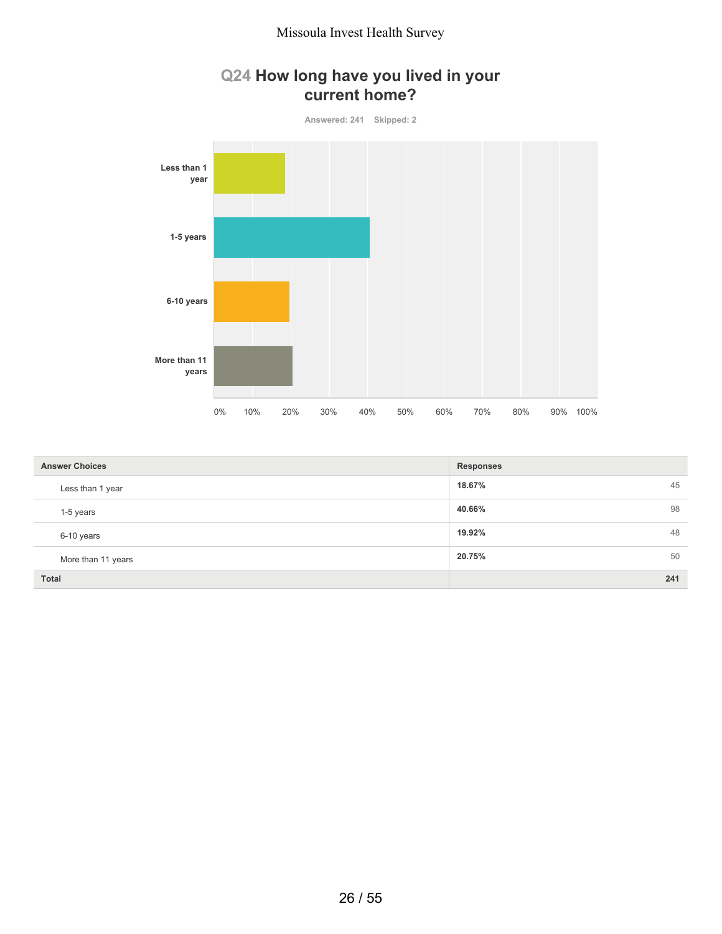### **Q24 How long have you lived in your current home?**



| <b>Answer Choices</b> | <b>Responses</b> |
|-----------------------|------------------|
| Less than 1 year      | 45<br>18.67%     |
| 1-5 years             | 98<br>40.66%     |
| 6-10 years            | 48<br>19.92%     |
| More than 11 years    | 20.75%<br>50     |
| <b>Total</b>          | 241              |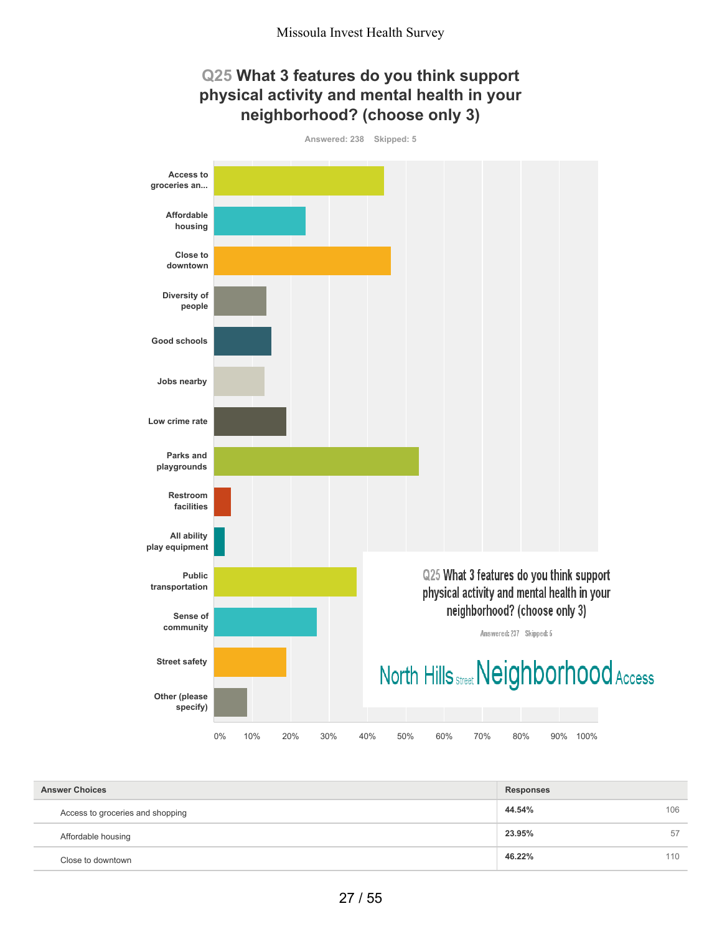

| <b>Answer Choices</b>            | <b>Responses</b> |     |
|----------------------------------|------------------|-----|
| Access to groceries and shopping | 44.54%           | 106 |
| Affordable housing               | 23.95%           | 57  |
| Close to downtown                | 46.22%           | 110 |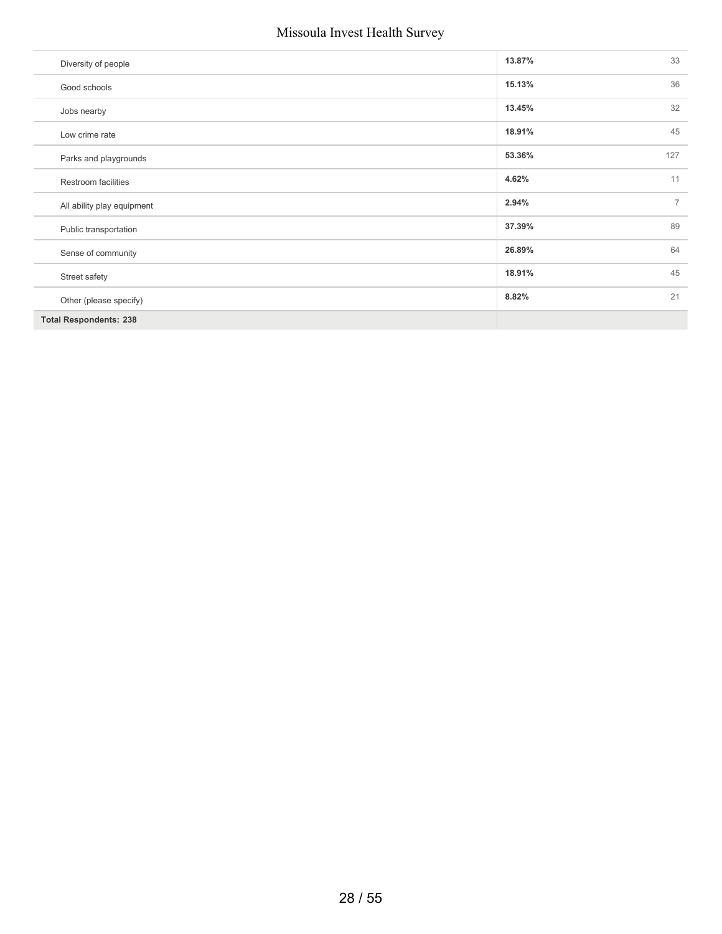| Diversity of people           | 13.87% | 33             |
|-------------------------------|--------|----------------|
| Good schools                  | 15.13% | 36             |
| Jobs nearby                   | 13.45% | 32             |
| Low crime rate                | 18.91% | 45             |
| Parks and playgrounds         | 53.36% | 127            |
| Restroom facilities           | 4.62%  | 11             |
| All ability play equipment    | 2.94%  | $\overline{7}$ |
| Public transportation         | 37.39% | 89             |
| Sense of community            | 26.89% | 64             |
| Street safety                 | 18.91% | 45             |
| Other (please specify)        | 8.82%  | 21             |
| <b>Total Respondents: 238</b> |        |                |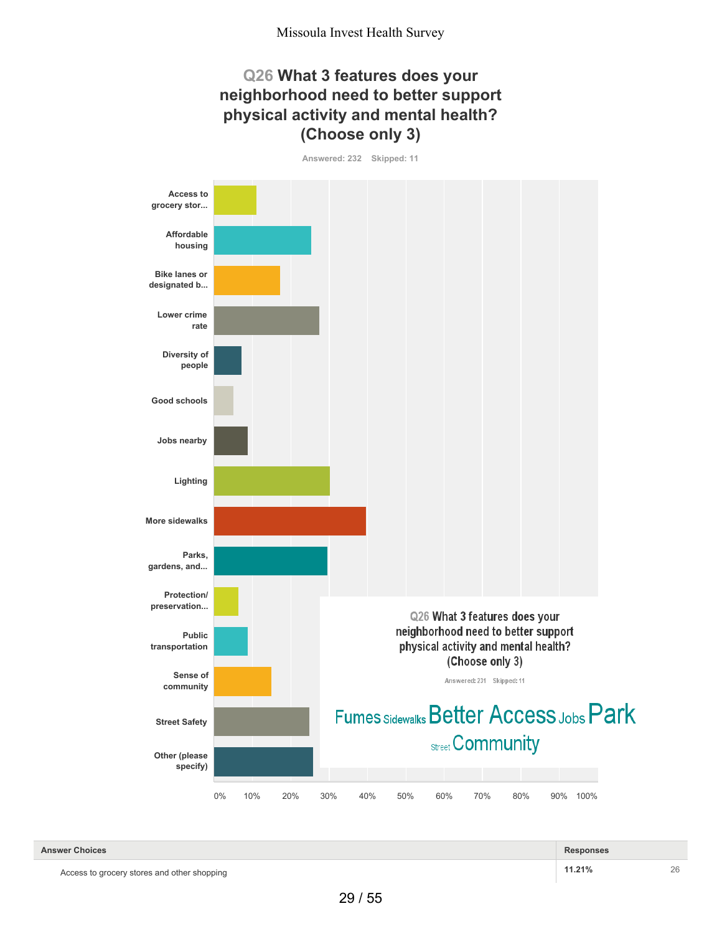#### **Q26 What 3 features does your neighborhood need to better support physical activity and mental health? (Choose only 3)**

**Answered: 232 Skipped: 11**



| <b>Answer Choices</b>                       | <b>Responses</b> |    |
|---------------------------------------------|------------------|----|
| Access to grocery stores and other shopping | 11.21%           | 26 |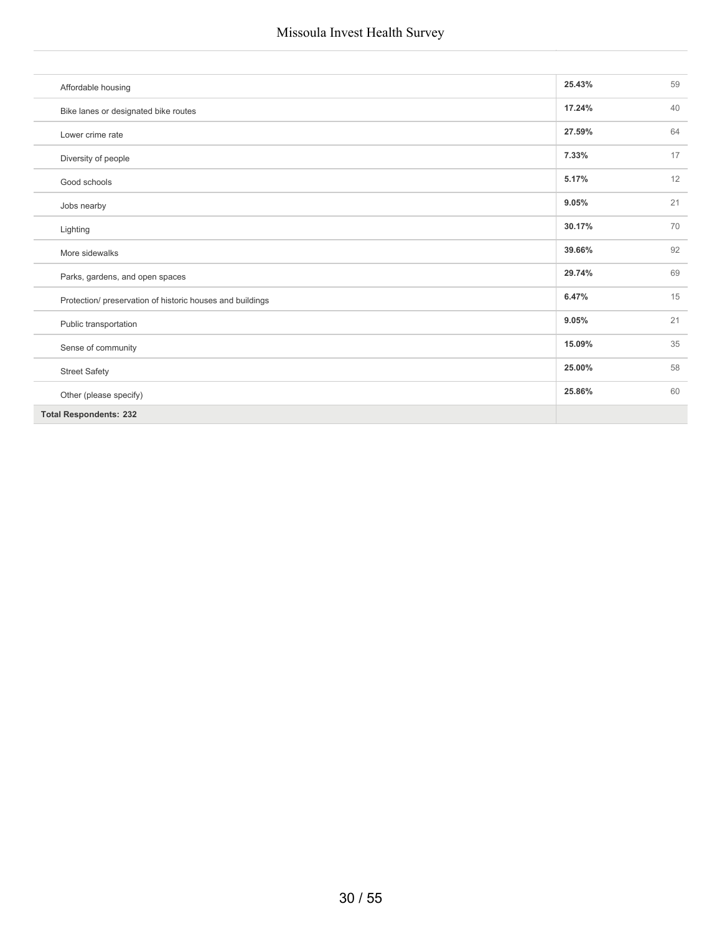| Affordable housing                                        | 25.43% | 59 |
|-----------------------------------------------------------|--------|----|
| Bike lanes or designated bike routes                      | 17.24% | 40 |
| Lower crime rate                                          | 27.59% | 64 |
| Diversity of people                                       | 7.33%  | 17 |
| Good schools                                              | 5.17%  | 12 |
| Jobs nearby                                               | 9.05%  | 21 |
| Lighting                                                  | 30.17% | 70 |
| More sidewalks                                            | 39.66% | 92 |
| Parks, gardens, and open spaces                           | 29.74% | 69 |
| Protection/ preservation of historic houses and buildings | 6.47%  | 15 |
| Public transportation                                     | 9.05%  | 21 |
| Sense of community                                        | 15.09% | 35 |
| <b>Street Safety</b>                                      | 25.00% | 58 |
| Other (please specify)                                    | 25.86% | 60 |
| <b>Total Respondents: 232</b>                             |        |    |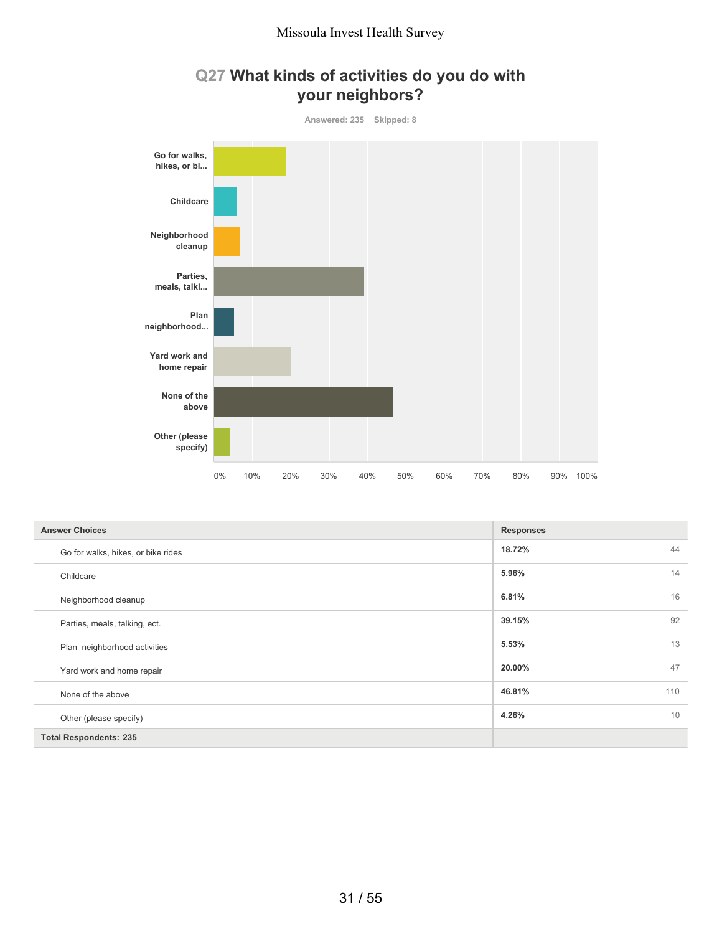

### **Q27 What kinds of activities do you do with your neighbors?**

| <b>Answer Choices</b>              | <b>Responses</b> |
|------------------------------------|------------------|
| Go for walks, hikes, or bike rides | 18.72%<br>44     |
| Childcare                          | 14<br>5.96%      |
| Neighborhood cleanup               | 16<br>6.81%      |
| Parties, meals, talking, ect.      | 92<br>39.15%     |
| Plan neighborhood activities       | 13<br>5.53%      |
| Yard work and home repair          | 47<br>20.00%     |
| None of the above                  | 46.81%<br>110    |
| Other (please specify)             | 10<br>4.26%      |
| <b>Total Respondents: 235</b>      |                  |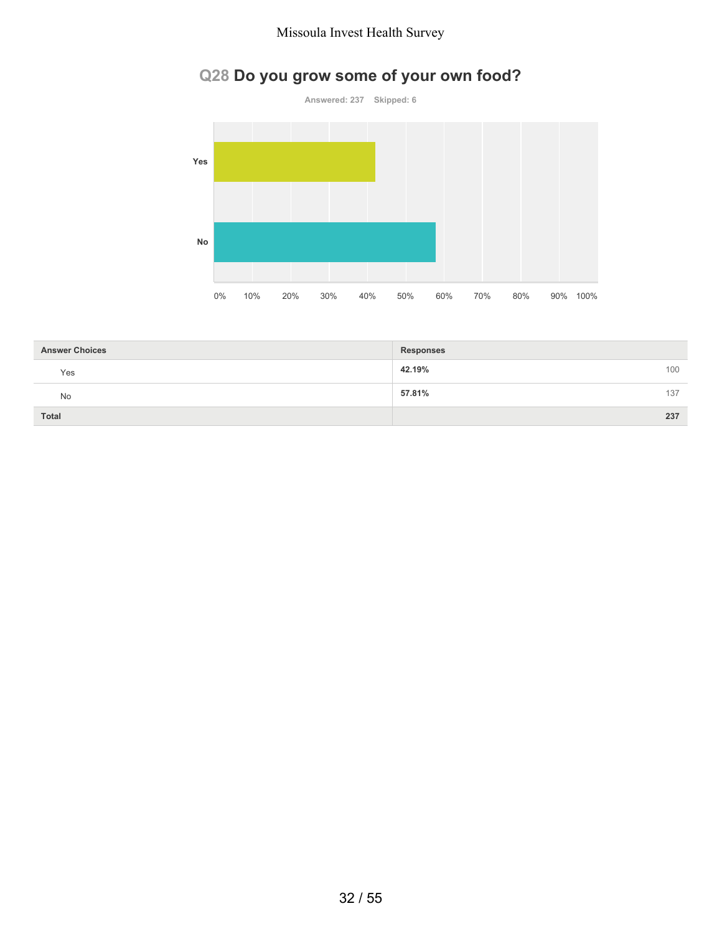# **Q28 Do you grow some of your own food?**



| <b>Answer Choices</b> | <b>Responses</b> |     |
|-----------------------|------------------|-----|
| Yes                   | 42.19%           | 100 |
| No                    | 57.81%           | 137 |
| <b>Total</b>          |                  | 237 |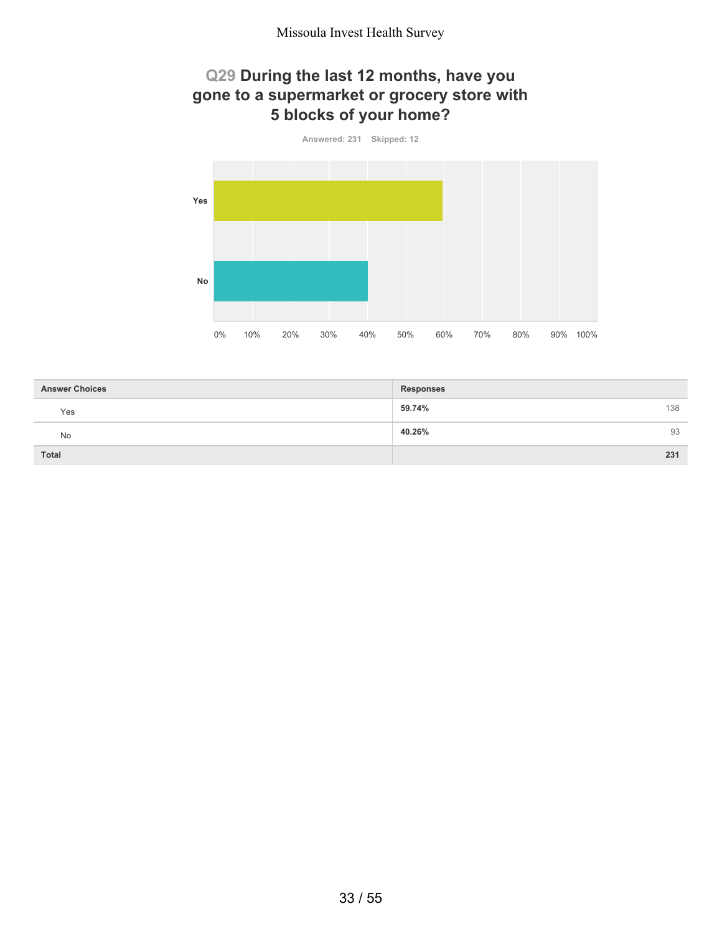### **Q29 During the last 12 months, have you gone to a supermarket or grocery store with 5 blocks of your home?**



| <b>Answer Choices</b> | <b>Responses</b> |
|-----------------------|------------------|
| Yes                   | 59.74%<br>138    |
| No                    | 40.26%<br>93     |
| <b>Total</b>          | 231              |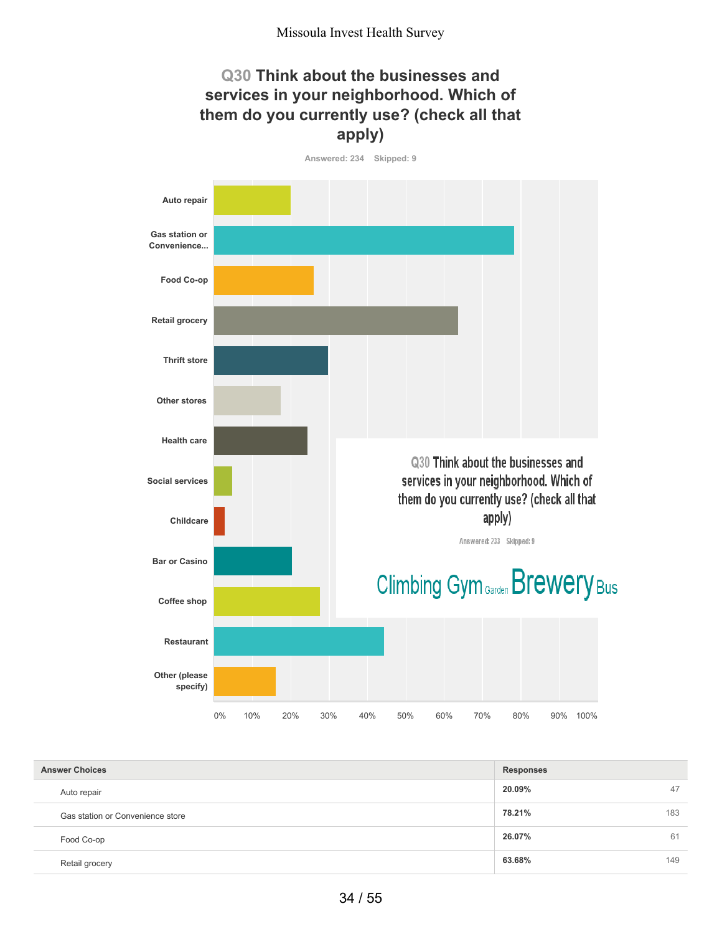### **Q30 Think about the businesses and services in your neighborhood. Which of them do you currently use? (check all that apply)**

**Answered: 234 Skipped: 9**



| <b>Answer Choices</b>            | <b>Responses</b> |     |
|----------------------------------|------------------|-----|
| Auto repair                      | 20.09%           | 47  |
| Gas station or Convenience store | 78.21%           | 183 |
| Food Co-op                       | 26.07%           | 61  |
| Retail grocery                   | 63.68%           | 149 |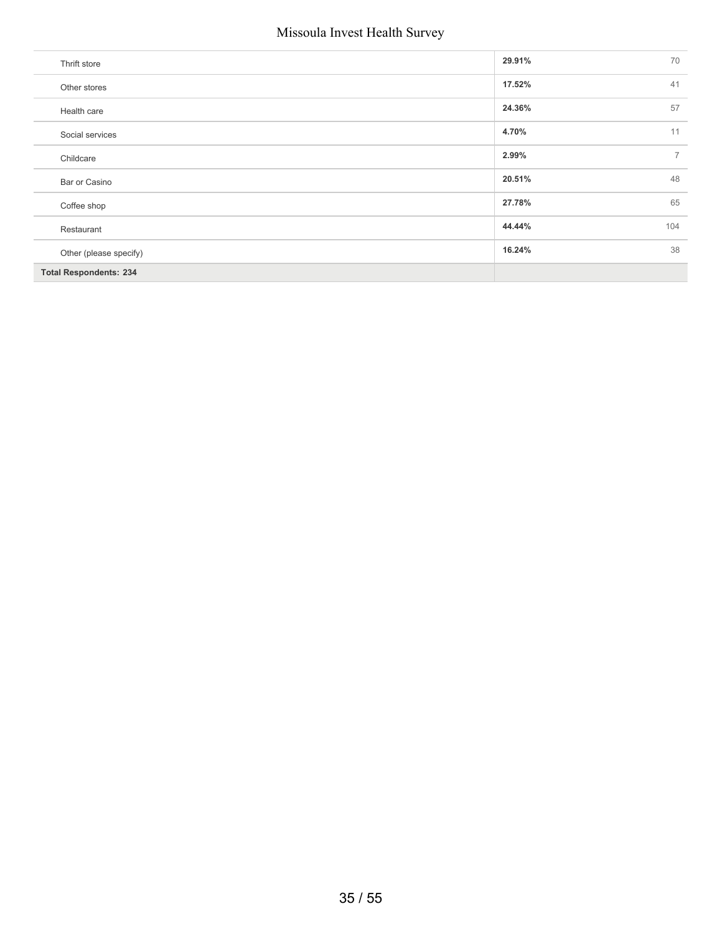| 70<br>29.91%<br>Thrift store<br>41<br>17.52%<br>Other stores<br>57<br>24.36%<br>Health care<br>11<br>4.70%<br>Social services<br>$\overline{7}$<br>2.99%<br>Childcare<br>48<br>20.51%<br>Bar or Casino<br>65<br>27.78%<br>Coffee shop<br>44.44%<br>104<br>Restaurant<br>38<br>16.24%<br>Other (please specify)<br><b>Total Respondents: 234</b> |  |  |
|-------------------------------------------------------------------------------------------------------------------------------------------------------------------------------------------------------------------------------------------------------------------------------------------------------------------------------------------------|--|--|
|                                                                                                                                                                                                                                                                                                                                                 |  |  |
|                                                                                                                                                                                                                                                                                                                                                 |  |  |
|                                                                                                                                                                                                                                                                                                                                                 |  |  |
|                                                                                                                                                                                                                                                                                                                                                 |  |  |
|                                                                                                                                                                                                                                                                                                                                                 |  |  |
|                                                                                                                                                                                                                                                                                                                                                 |  |  |
|                                                                                                                                                                                                                                                                                                                                                 |  |  |
|                                                                                                                                                                                                                                                                                                                                                 |  |  |
|                                                                                                                                                                                                                                                                                                                                                 |  |  |
|                                                                                                                                                                                                                                                                                                                                                 |  |  |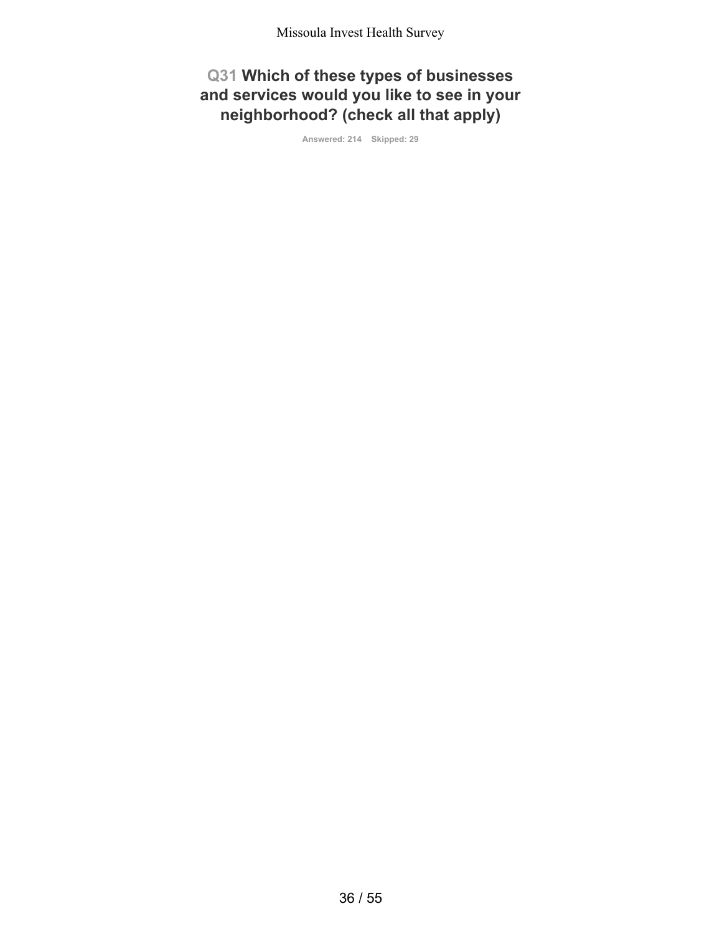**Q31 Which of these types of businesses and services would you like to see in your neighborhood? (check all that apply)**

**Answered: 214 Skipped: 29**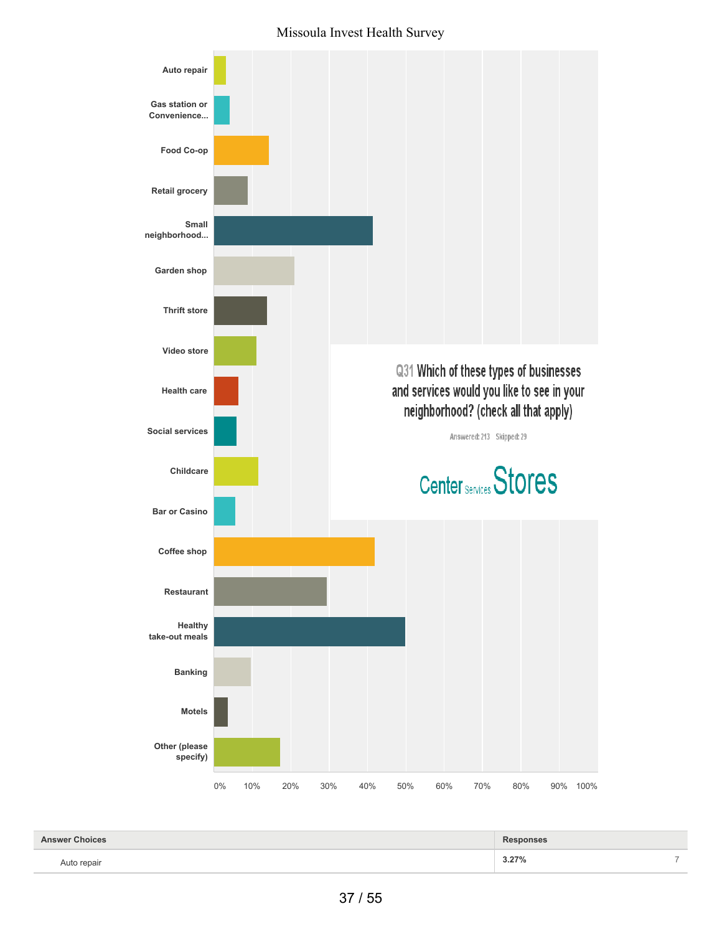

| <b>Answer Choices</b> | <b>Responses</b> |                          |
|-----------------------|------------------|--------------------------|
| Auto repair           | 3.27%            | $\overline{\phantom{a}}$ |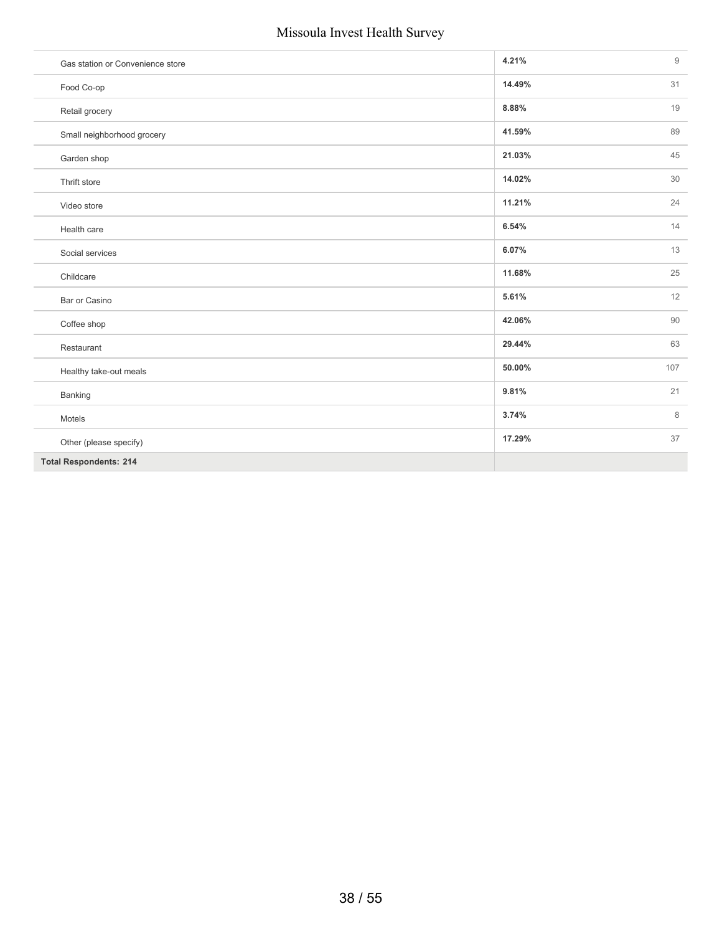| Gas station or Convenience store | 4.21%  | $\mathsf g$ |
|----------------------------------|--------|-------------|
| Food Co-op                       | 14.49% | 31          |
| Retail grocery                   | 8.88%  | 19          |
| Small neighborhood grocery       | 41.59% | 89          |
| Garden shop                      | 21.03% | 45          |
| Thrift store                     | 14.02% | 30          |
| Video store                      | 11.21% | 24          |
| Health care                      | 6.54%  | 14          |
| Social services                  | 6.07%  | 13          |
| Childcare                        | 11.68% | 25          |
| Bar or Casino                    | 5.61%  | 12          |
| Coffee shop                      | 42.06% | 90          |
| Restaurant                       | 29.44% | 63          |
| Healthy take-out meals           | 50.00% | 107         |
| Banking                          | 9.81%  | 21          |
| Motels                           | 3.74%  | $\,8\,$     |
| Other (please specify)           | 17.29% | 37          |
| <b>Total Respondents: 214</b>    |        |             |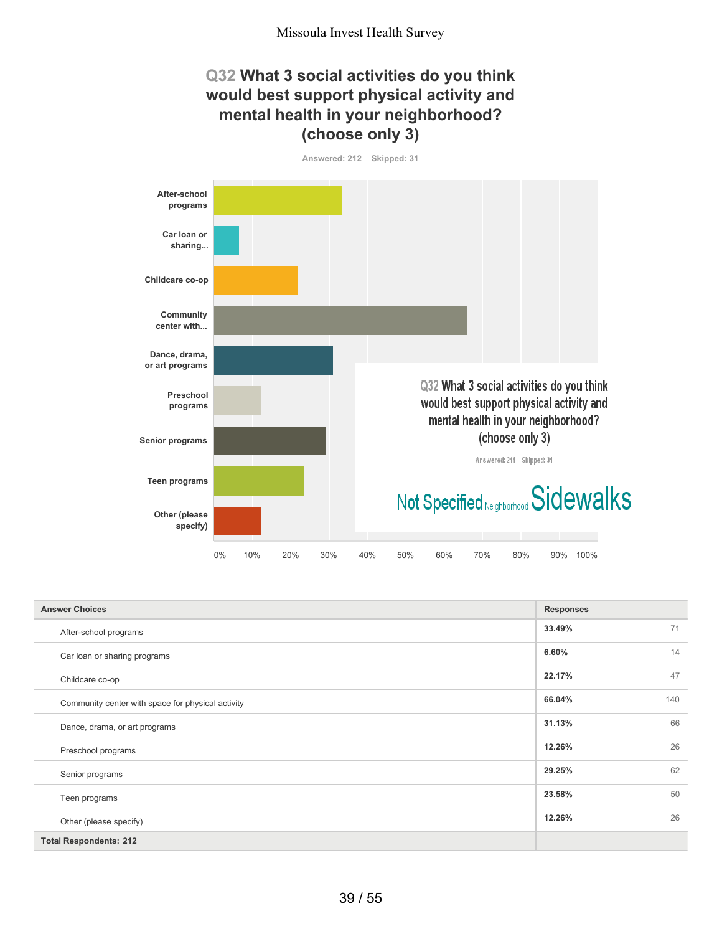### **Q32 What 3 social activities do you think would best support physical activity and mental health in your neighborhood? (choose only 3)**

**Answered: 212 Skipped: 31 After-school programs Car loan or sharing... Childcare co-op Community center with... Dance, drama, or art programs** Q32 What 3 social activities do you think **Preschool** would best support physical activity and **programs** mental health in your neighborhood? (choose only 3) **Senior programs** Answered: 211 Skipped: 31 **Teen programs** Not Specified Neighborhood Sidewalks **Other (please specify)** 0% 10% 20% 30% 40% 50% 60% 70% 80% 90% 100%

| <b>Answer Choices</b>                             | <b>Responses</b> |  |
|---------------------------------------------------|------------------|--|
| After-school programs                             | 71<br>33.49%     |  |
| Car loan or sharing programs                      | 14<br>6.60%      |  |
| Childcare co-op                                   | 47<br>22.17%     |  |
| Community center with space for physical activity | 66.04%<br>140    |  |
| Dance, drama, or art programs                     | 66<br>31.13%     |  |
| Preschool programs                                | 26<br>12.26%     |  |
| Senior programs                                   | 62<br>29.25%     |  |
| Teen programs                                     | 50<br>23.58%     |  |
| Other (please specify)                            | 26<br>12.26%     |  |
| <b>Total Respondents: 212</b>                     |                  |  |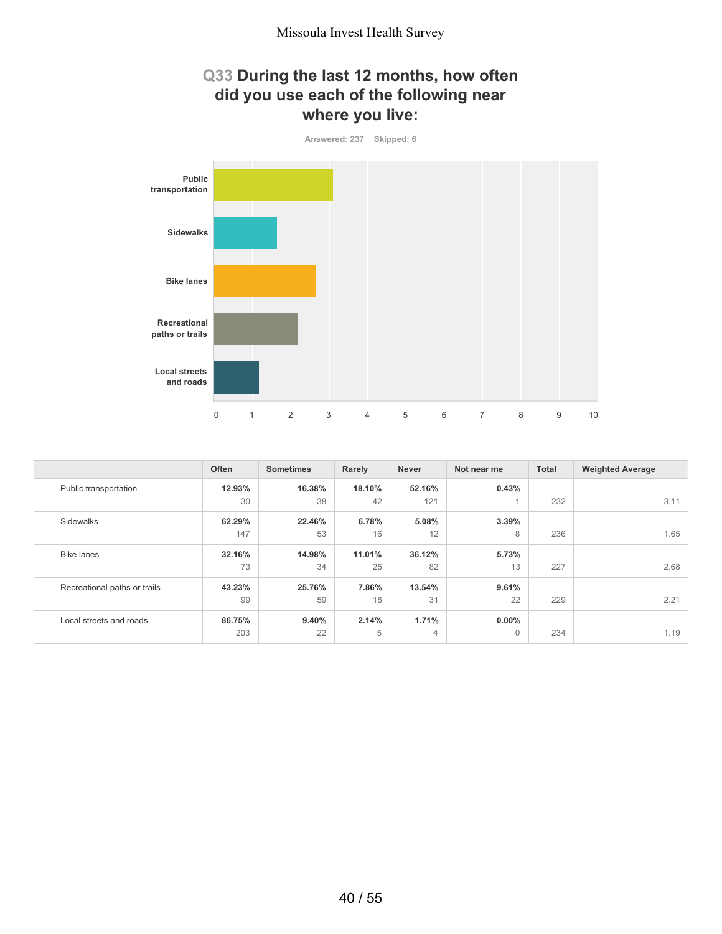### **Q33 During the last 12 months, how often did you use each of the following near where you live:**



|                              | Often  | <b>Sometimes</b> | Rarely | <b>Never</b> | Not near me | <b>Total</b> | <b>Weighted Average</b> |
|------------------------------|--------|------------------|--------|--------------|-------------|--------------|-------------------------|
| Public transportation        | 12.93% | 16.38%           | 18.10% | 52.16%       | 0.43%       |              |                         |
|                              | 30     | 38               | 42     | 121          |             | 232          | 3.11                    |
| Sidewalks                    | 62.29% | 22.46%           | 6.78%  | 5.08%        | 3.39%       |              |                         |
|                              | 147    | 53               | 16     | 12           | 8           | 236          | 1.65                    |
| <b>Bike lanes</b>            | 32.16% | 14.98%           | 11.01% | 36.12%       | 5.73%       |              |                         |
|                              | 73     | 34               | 25     | 82           | 13          | 227          | 2.68                    |
| Recreational paths or trails | 43.23% | 25.76%           | 7.86%  | 13.54%       | 9.61%       |              |                         |
|                              | 99     | 59               | 18     | 31           | 22          | 229          | 2.21                    |
| Local streets and roads      | 86.75% | 9.40%            | 2.14%  | 1.71%        | $0.00\%$    |              |                         |
|                              | 203    | 22               | 5      | 4            | $\Omega$    | 234          | 1.19                    |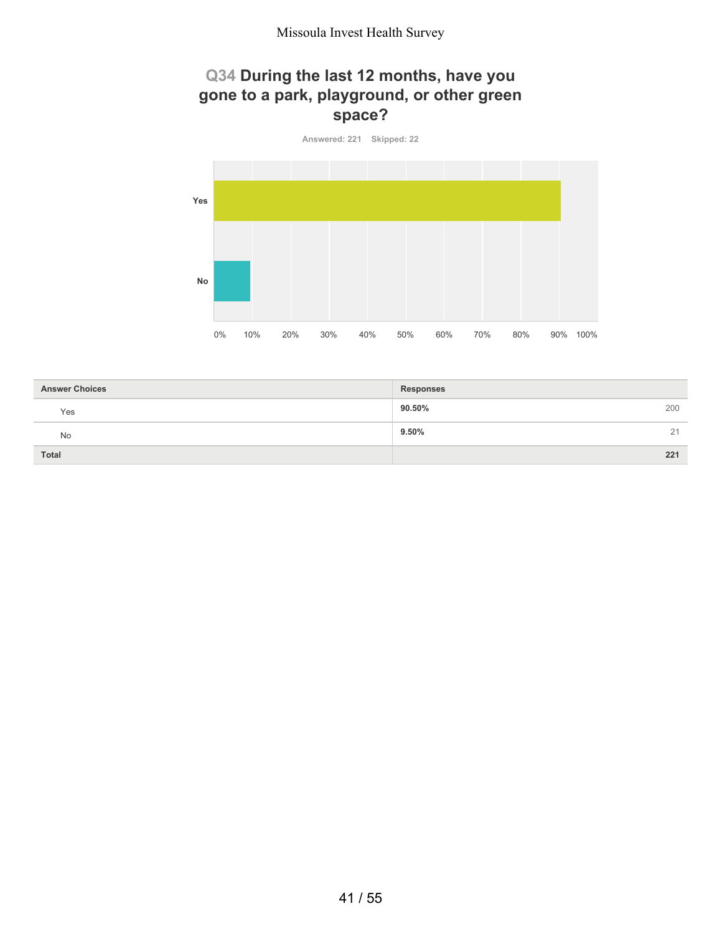### **Q34 During the last 12 months, have you gone to a park, playground, or other green space?**



| <b>Answer Choices</b> | <b>Responses</b> |
|-----------------------|------------------|
| Yes                   | 90.50%<br>200    |
| No                    | 9.50%<br>21      |
| <b>Total</b>          | 221              |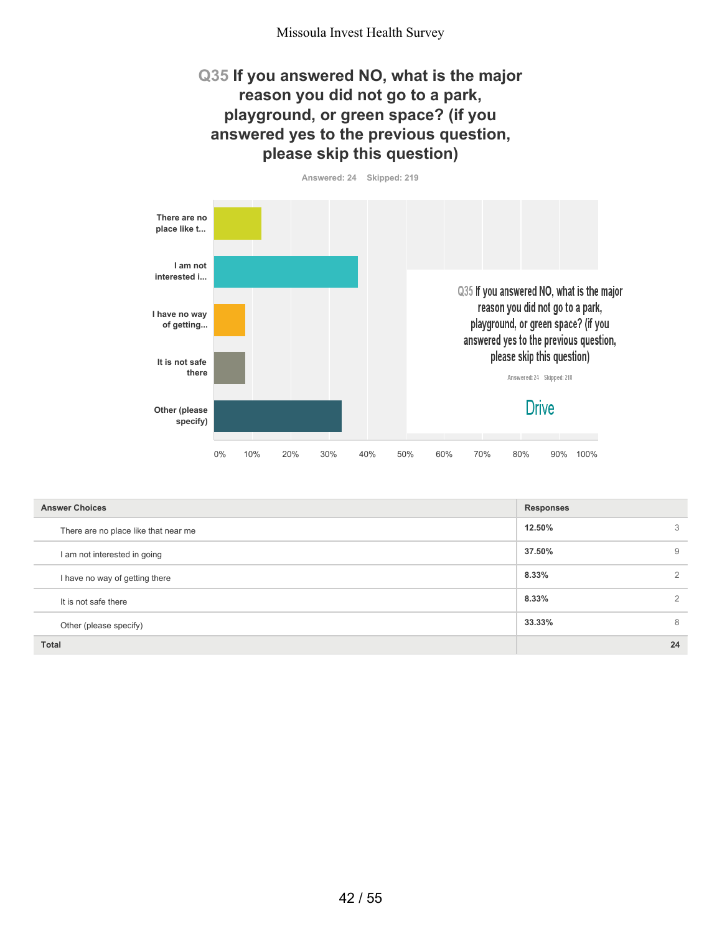#### **Q35 If you answered NO, what is the major reason you did not go to a park, playground, or green space? (if you answered yes to the previous question, please skip this question)**





| <b>Answer Choices</b>                | <b>Responses</b> |    |
|--------------------------------------|------------------|----|
| There are no place like that near me | 12.50%           | 3  |
| I am not interested in going         | 37.50%           | 9  |
| I have no way of getting there       | 8.33%            | 2  |
| It is not safe there                 | 8.33%            | 2  |
| Other (please specify)               | 33.33%           | 8  |
| <b>Total</b>                         |                  | 24 |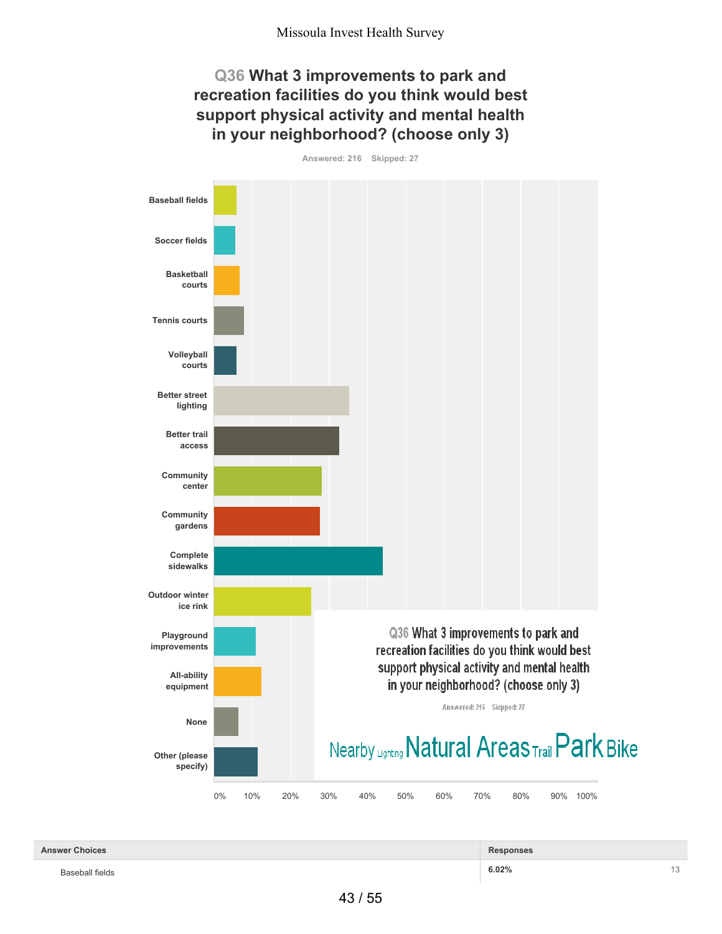### **Q36 What 3 improvements to park and recreation facilities do you think would best support physical activity and mental health in your neighborhood? (choose only 3)**

**Answered: 216 Skipped: 27 Baseball fields Soccer fields Basketball courts Tennis courts Volleyball courts Better street lighting Better trail access Community center Community gardens Complete sidewalks Outdoor winter ice rink** Q36 What 3 improvements to park and **Playground improvements** recreation facilities do you think would best support physical activity and mental health **All-ability** in your neighborhood? (choose only 3) **equipment** Answered: 215 Skipped: 27 **None** Nearby Lighting Natural Areas Trail Park Bike **Other (please specify)** 0% 10% 20% 30% 40% 50% 60% 70% 80% 90% 100%

| <b>Answer Choices</b> | <b>Responses</b> |  |
|-----------------------|------------------|--|
| Baseball fields       | 6.02%            |  |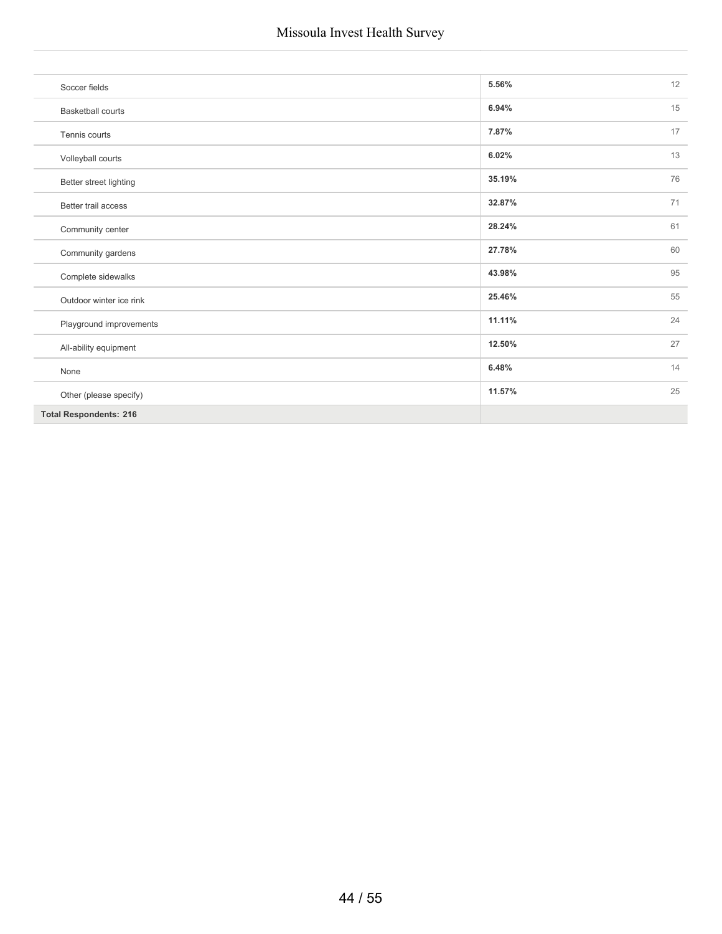| Soccer fields                 | 5.56%  | 12 |
|-------------------------------|--------|----|
| <b>Basketball courts</b>      | 6.94%  | 15 |
| Tennis courts                 | 7.87%  | 17 |
| Volleyball courts             | 6.02%  | 13 |
| Better street lighting        | 35.19% | 76 |
| Better trail access           | 32.87% | 71 |
| Community center              | 28.24% | 61 |
| Community gardens             | 27.78% | 60 |
| Complete sidewalks            | 43.98% | 95 |
| Outdoor winter ice rink       | 25.46% | 55 |
| Playground improvements       | 11.11% | 24 |
| All-ability equipment         | 12.50% | 27 |
| None                          | 6.48%  | 14 |
| Other (please specify)        | 11.57% | 25 |
| <b>Total Respondents: 216</b> |        |    |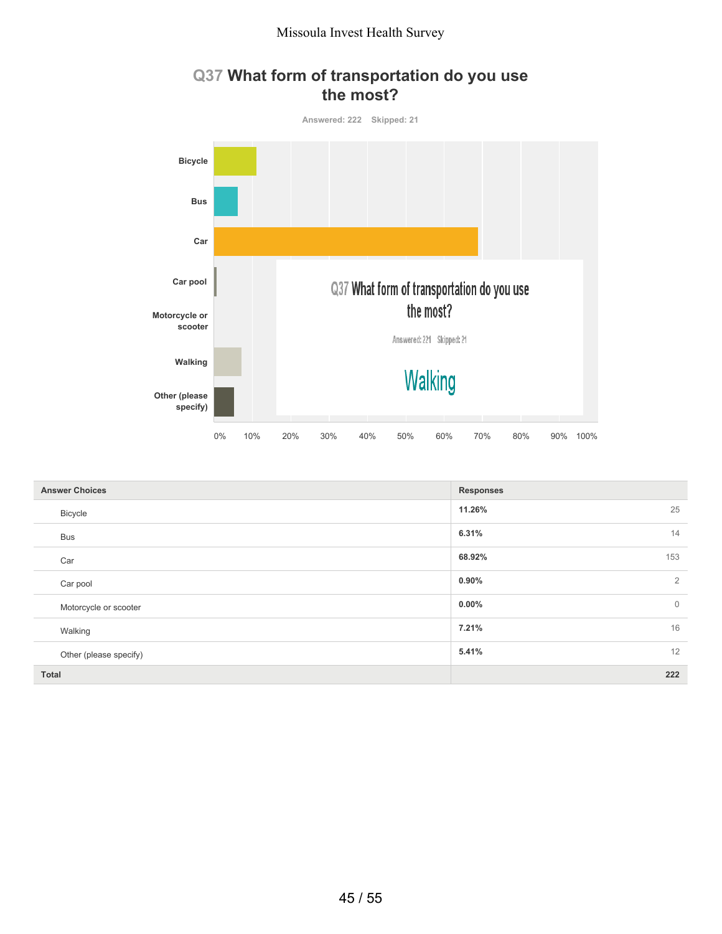

#### **Q37 What form of transportation do you use the most?**

| <b>Answer Choices</b>  | <b>Responses</b>           |
|------------------------|----------------------------|
| Bicycle                | 11.26%<br>25               |
| <b>Bus</b>             | 14<br>6.31%                |
| Car                    | 68.92%<br>153              |
| Car pool               | $0.90\%$<br>$\overline{2}$ |
| Motorcycle or scooter  | $\mathbf 0$<br>$0.00\%$    |
| Walking                | 16<br>7.21%                |
| Other (please specify) | 12<br>5.41%                |
| <b>Total</b>           | 222                        |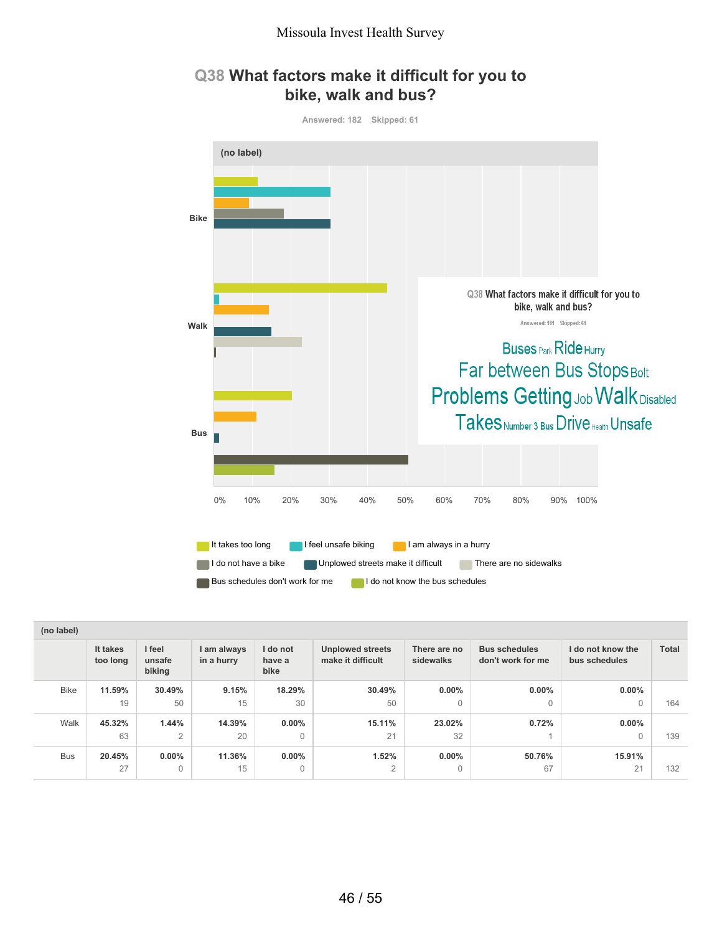#### **Q38 What factors make it difficult for you to bike, walk and bus?**



| (no label)  |                      |                            |                           |                            |                                              |                           |                                           |                                    |              |
|-------------|----------------------|----------------------------|---------------------------|----------------------------|----------------------------------------------|---------------------------|-------------------------------------------|------------------------------------|--------------|
|             | It takes<br>too long | I feel<br>unsafe<br>biking | I am always<br>in a hurry | I do not<br>have a<br>bike | <b>Unplowed streets</b><br>make it difficult | There are no<br>sidewalks | <b>Bus schedules</b><br>don't work for me | I do not know the<br>bus schedules | <b>Total</b> |
| <b>Bike</b> | 11.59%               | 30.49%                     | 9.15%                     | 18.29%                     | 30.49%                                       | $0.00\%$                  | $0.00\%$                                  | $0.00\%$                           |              |
|             | 19                   | 50                         | 15                        | 30                         | 50                                           | $\mathbf{0}$              | $\Omega$                                  | 0                                  | 164          |
| Walk        | 45.32%               | 1.44%                      | 14.39%                    | $0.00\%$                   | 15.11%                                       | 23.02%                    | 0.72%                                     | $0.00\%$                           |              |
|             | 63                   | $\overline{2}$             | 20                        | 0                          | 21                                           | 32                        |                                           | $\Omega$                           | 139          |
| <b>Bus</b>  | 20.45%               | $0.00\%$                   | 11.36%                    | $0.00\%$                   | 1.52%                                        | $0.00\%$                  | 50.76%                                    | 15.91%                             |              |
|             | 27                   | $\mathbf{0}$               | 15                        | $\mathbf 0$                | $\overline{2}$                               | $\mathbf{0}$              | 67                                        | 21                                 | 132          |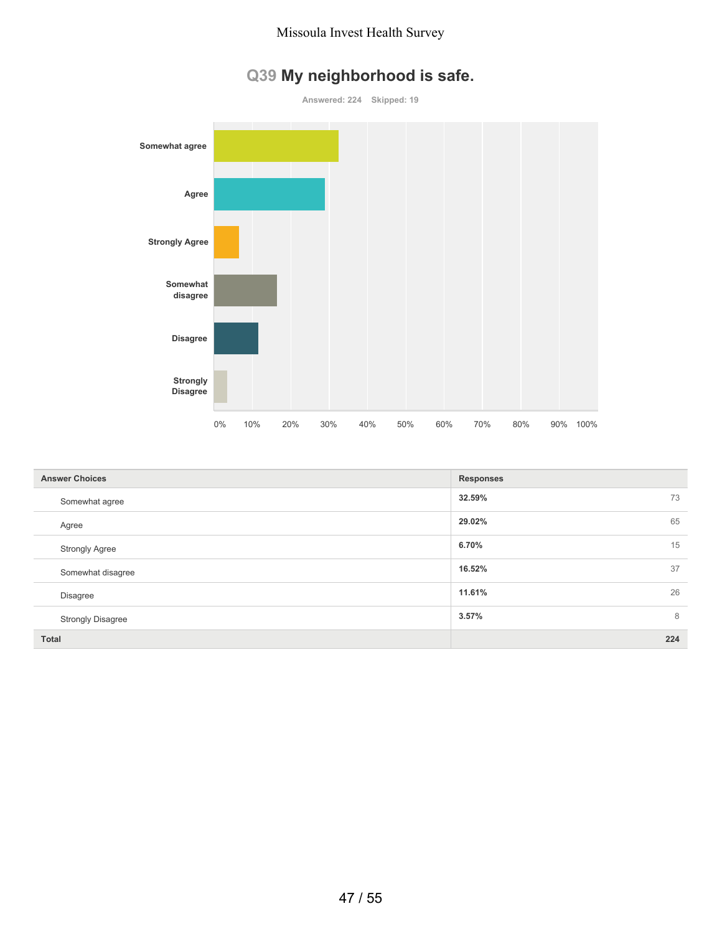

# **Q39 My neighborhood is safe.**

| <b>Answer Choices</b>    | <b>Responses</b> |
|--------------------------|------------------|
| Somewhat agree           | 32.59%<br>73     |
| Agree                    | 65<br>29.02%     |
| <b>Strongly Agree</b>    | 15<br>6.70%      |
| Somewhat disagree        | 37<br>16.52%     |
| <b>Disagree</b>          | 26<br>11.61%     |
| <b>Strongly Disagree</b> | 8<br>3.57%       |
| <b>Total</b>             | 224              |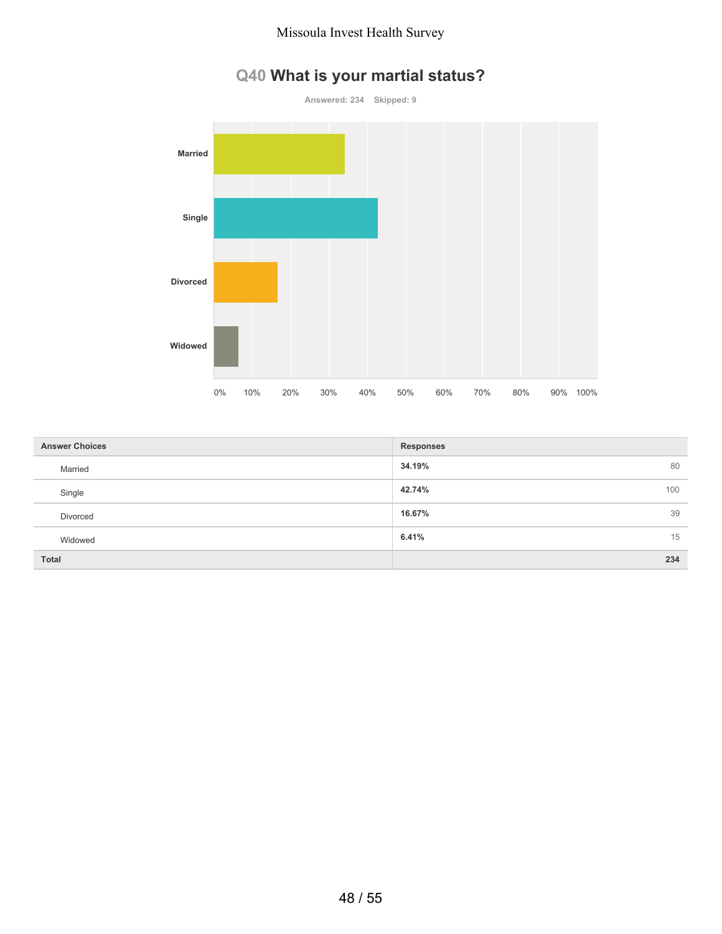

# **Q40 What is your martial status?**

| <b>Answer Choices</b> | <b>Responses</b> |
|-----------------------|------------------|
| Married               | 34.19%<br>80     |
| Single                | 42.74%<br>100    |
| Divorced              | 16.67%<br>39     |
| Widowed               | 6.41%<br>15      |
| <b>Total</b>          | 234              |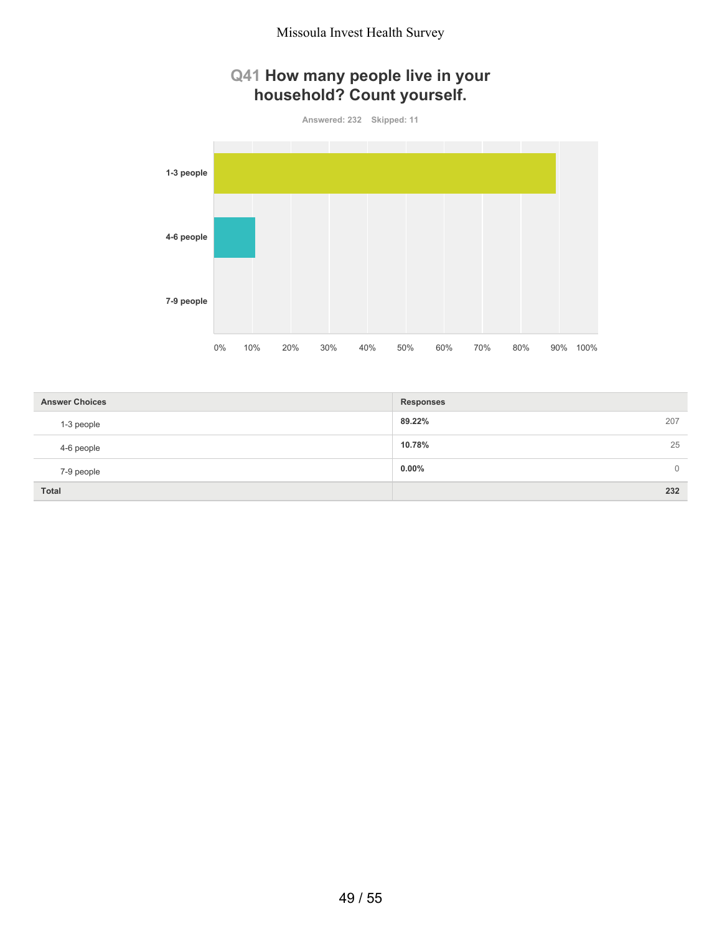### **Q41 How many people live in your household? Count yourself.**

**Answered: 232 Skipped: 11**



| <b>Answer Choices</b> | <b>Responses</b>           |  |
|-----------------------|----------------------------|--|
| 1-3 people            | 89.22%<br>207              |  |
| 4-6 people            | 25<br>10.78%               |  |
| 7-9 people            | $0.00\%$<br>$\overline{0}$ |  |
| <b>Total</b>          | 232                        |  |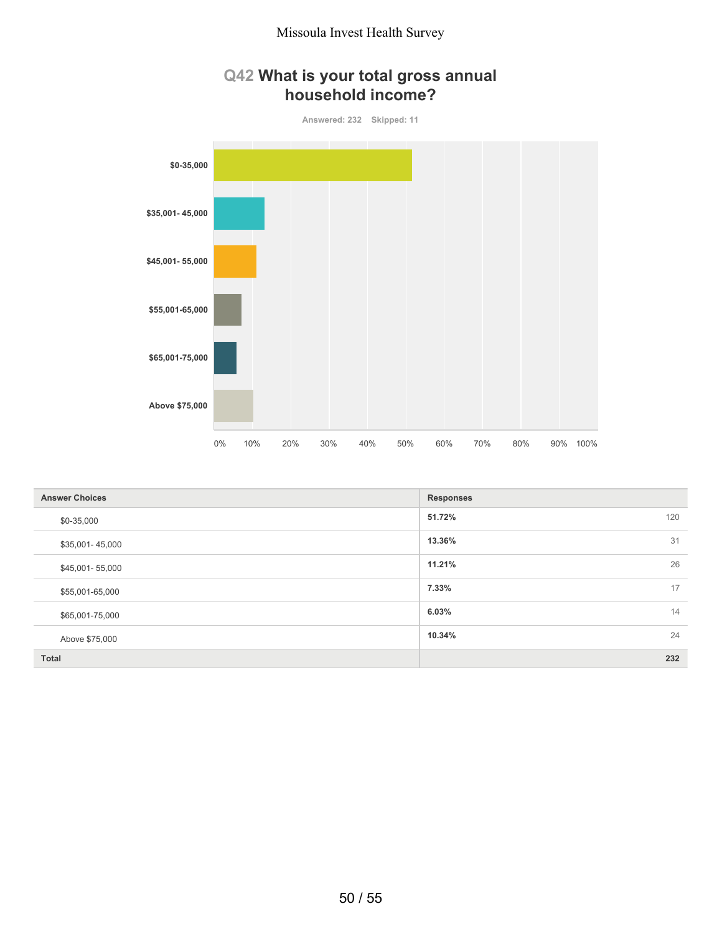



| <b>Answer Choices</b> | <b>Responses</b> |
|-----------------------|------------------|
| \$0-35,000            | 120<br>51.72%    |
| \$35,001-45,000       | 31<br>13.36%     |
| \$45,001-55,000       | 26<br>11.21%     |
| \$55,001-65,000       | 17<br>7.33%      |
| \$65,001-75,000       | 14<br>6.03%      |
| Above \$75,000        | 24<br>10.34%     |
| Total                 | 232              |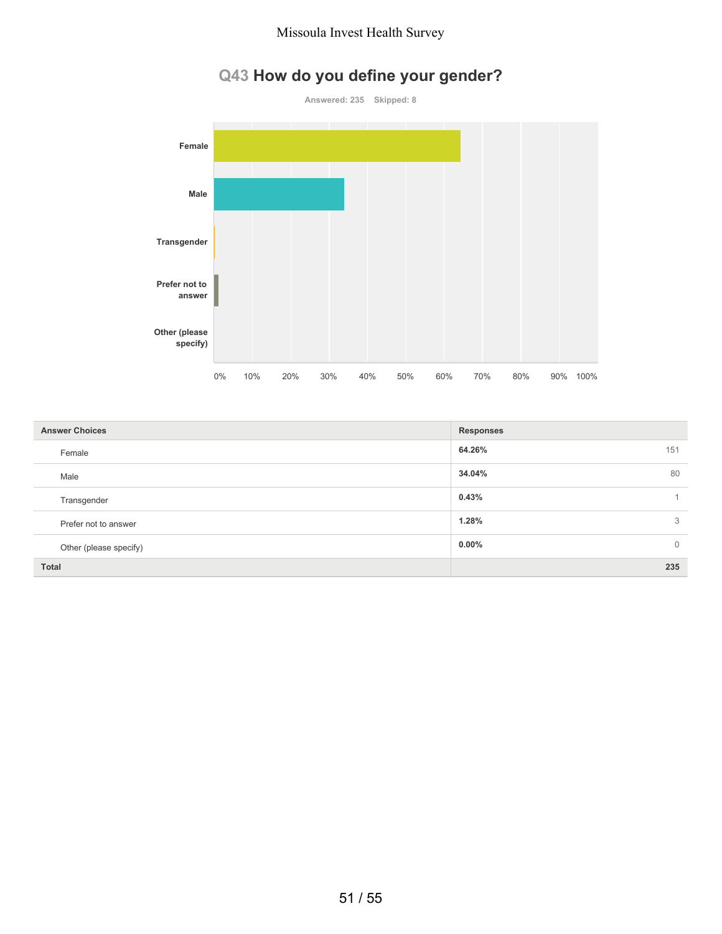# **Q43 How do you define your gender?**



0% 10% 20% 30% 40% 50% 60% 70% 80% 90% 100%

**64.26%** 151 **34.04%** 80 **0.43%** 1 **1.28%** 3 **0.00%** 0 **Total 235 Answer Choices Responses** Female Male Transgender Prefer not to answer Other (please specify)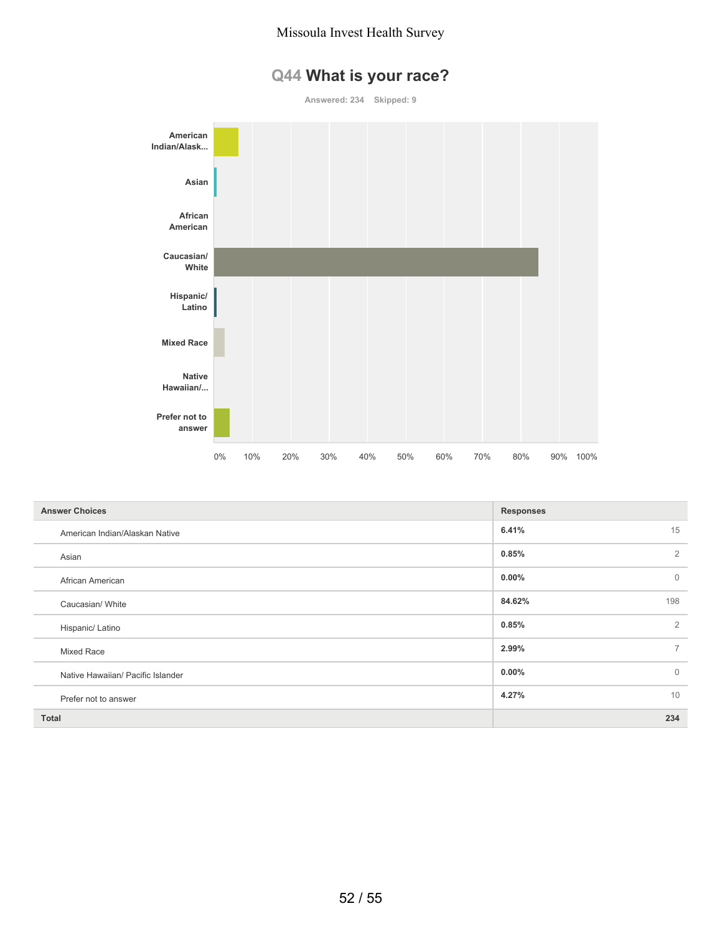# **Q44 What is your race?**

**Answered: 234 Skipped: 9**



| <b>Answer Choices</b>             | <b>Responses</b>         |
|-----------------------------------|--------------------------|
| American Indian/Alaskan Native    | 6.41%<br>15              |
| Asian                             | $\overline{2}$<br>0.85%  |
| African American                  | $\mathbf{0}$<br>$0.00\%$ |
| Caucasian/ White                  | 84.62%<br>198            |
| Hispanic/ Latino                  | 2<br>0.85%               |
| Mixed Race                        | $\overline{7}$<br>2.99%  |
| Native Hawaiian/ Pacific Islander | $\mathbf{0}$<br>$0.00\%$ |
| Prefer not to answer              | 10<br>4.27%              |
| <b>Total</b>                      | 234                      |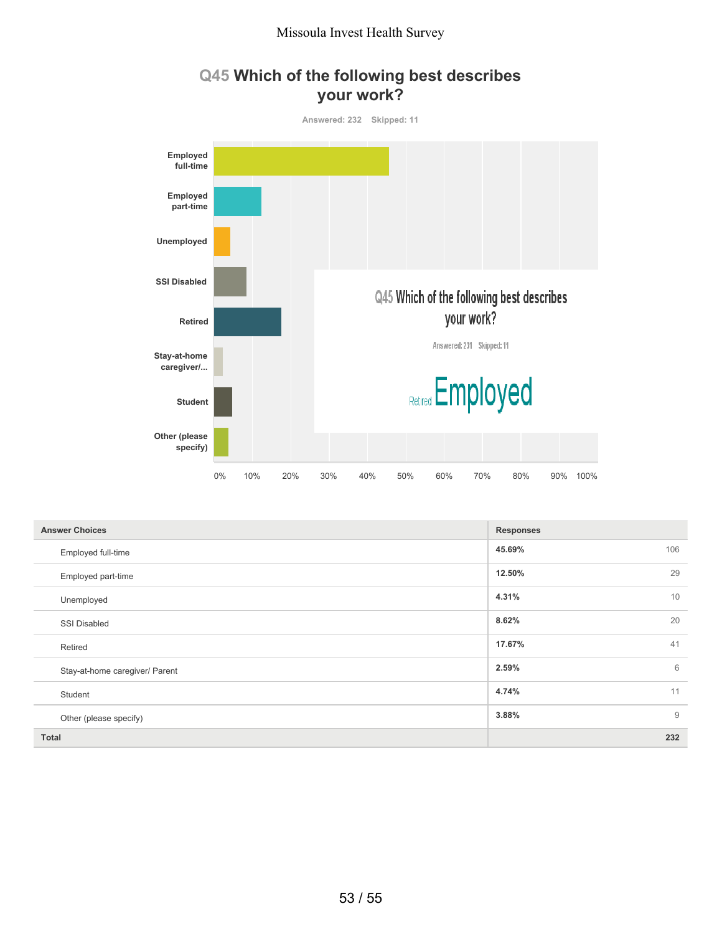



| <b>Answer Choices</b>          | <b>Responses</b> |
|--------------------------------|------------------|
| Employed full-time             | 106<br>45.69%    |
| Employed part-time             | 29<br>12.50%     |
| Unemployed                     | 10<br>4.31%      |
| <b>SSI Disabled</b>            | 20<br>8.62%      |
| Retired                        | 41<br>17.67%     |
| Stay-at-home caregiver/ Parent | 6<br>2.59%       |
| Student                        | 11<br>4.74%      |
| Other (please specify)         | 9<br>3.88%       |
| <b>Total</b>                   | 232              |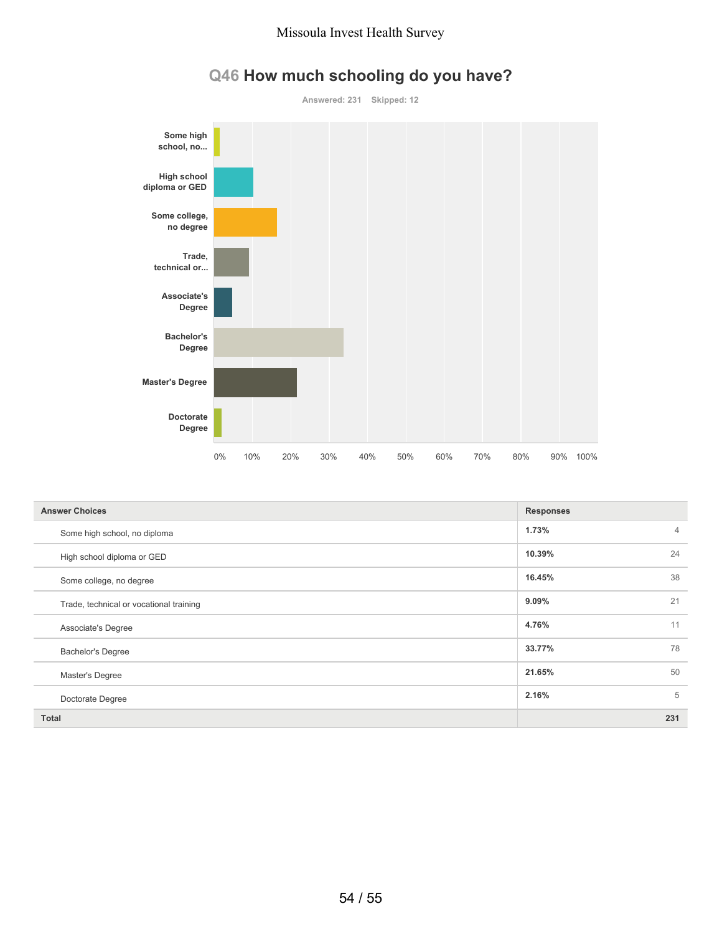

# **Q46 How much schooling do you have?**

| <b>Answer Choices</b>                   | <b>Responses</b>        |
|-----------------------------------------|-------------------------|
| Some high school, no diploma            | 1.73%<br>$\overline{4}$ |
| High school diploma or GED              | 24<br>10.39%            |
| Some college, no degree                 | 38<br>16.45%            |
| Trade, technical or vocational training | 21<br>9.09%             |
| Associate's Degree                      | 11<br>4.76%             |
| <b>Bachelor's Degree</b>                | 33.77%<br>78            |
| Master's Degree                         | 50<br>21.65%            |
| Doctorate Degree                        | 2.16%<br>5              |
| <b>Total</b>                            | 231                     |